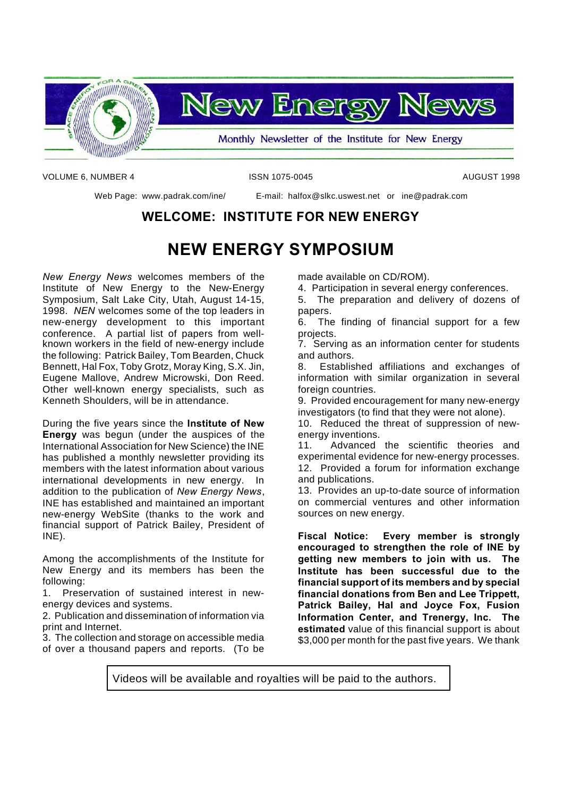

VOLUME 6, NUMBER 4 ISSN 1075-0045 AUGUST 1998

Web Page: www.padrak.com/ine/ E-mail: halfox@slkc.uswest.net or ine@padrak.com

### **WELCOME: INSTITUTE FOR NEW ENERGY**

# **NEW ENERGY SYMPOSIUM**

*New Energy News* welcomes members of the Institute of New Energy to the New-Energy Symposium, Salt Lake City, Utah, August 14-15, 1998. *NEN* welcomes some of the top leaders in new-energy development to this important conference. A partial list of papers from wellknown workers in the field of new-energy include the following: Patrick Bailey, Tom Bearden, Chuck Bennett, Hal Fox, Toby Grotz, Moray King, S.X. Jin, Eugene Mallove, Andrew Microwski, Don Reed. Other well-known energy specialists, such as Kenneth Shoulders, will be in attendance.

During the five years since the **Institute of New Energy** was begun (under the auspices of the International Association for New Science) the INE has published a monthly newsletter providing its members with the latest information about various international developments in new energy. In addition to the publication of *New Energy News*, INE has established and maintained an important new-energy WebSite (thanks to the work and financial support of Patrick Bailey, President of INE).

Among the accomplishments of the Institute for New Energy and its members has been the following:

1. Preservation of sustained interest in newenergy devices and systems.

2. Publication and dissemination of information via print and Internet.

3. The collection and storage on accessible media of over a thousand papers and reports. (To be made available on CD/ROM).

4. Participation in several energy conferences.

5. The preparation and delivery of dozens of papers.

6. The finding of financial support for a few projects.

7. Serving as an information center for students and authors.

8. Established affiliations and exchanges of information with similar organization in several foreign countries.

9. Provided encouragement for many new-energy investigators (to find that they were not alone).

10. Reduced the threat of suppression of newenergy inventions.

11. Advanced the scientific theories and experimental evidence for new-energy processes. 12. Provided a forum for information exchange and publications.

13. Provides an up-to-date source of information on commercial ventures and other information sources on new energy.

**Fiscal Notice: Every member is strongly encouraged to strengthen the role of INE by getting new members to join with us. The Institute has been successful due to the financial support of its members and by special financial donations from Ben and Lee Trippett, Patrick Bailey, Hal and Joyce Fox, Fusion Information Center, and Trenergy, Inc. The estimated** value of this financial support is about \$3,000 per month for the past five years. We thank

Videos will be available and royalties will be paid to the authors.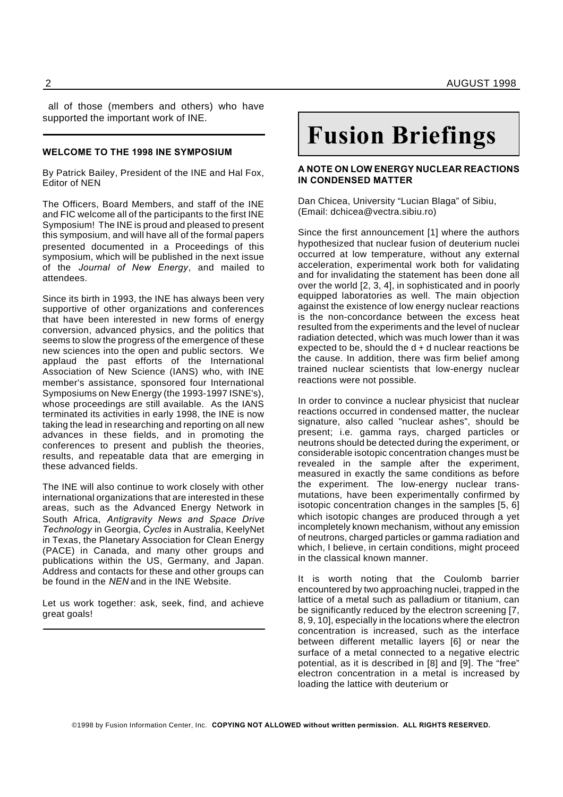all of those (members and others) who have supported the important work of INE.

#### **WELCOME TO THE 1998 INE SYMPOSIUM**

By Patrick Bailey, President of the INE and Hal Fox, Editor of NEN

The Officers, Board Members, and staff of the INE and FIC welcome all of the participants to the first INE Symposium! The INE is proud and pleased to present this symposium, and will have all of the formal papers presented documented in a Proceedings of this symposium, which will be published in the next issue of the *Journal of New Energy*, and mailed to attendees.

Since its birth in 1993, the INE has always been very supportive of other organizations and conferences that have been interested in new forms of energy conversion, advanced physics, and the politics that seems to slow the progress of the emergence of these new sciences into the open and public sectors. We applaud the past efforts of the International Association of New Science (IANS) who, with INE member's assistance, sponsored four International Symposiums on New Energy (the 1993-1997 ISNE's), whose proceedings are still available. As the IANS terminated its activities in early 1998, the INE is now taking the lead in researching and reporting on all new advances in these fields, and in promoting the conferences to present and publish the theories, results, and repeatable data that are emerging in these advanced fields.

The INE will also continue to work closely with other international organizations that are interested in these areas, such as the Advanced Energy Network in South Africa, *Antigravity News and Space Drive Technology* in Georgia, *Cycles* in Australia, KeelyNet in Texas, the Planetary Association for Clean Energy (PACE) in Canada, and many other groups and publications within the US, Germany, and Japan. Address and contacts for these and other groups can be found in the *NEN* and in the INE Website.

Let us work together: ask, seek, find, and achieve great goals!

# **Fusion Briefings**

#### **A NOTE ON LOW ENERGY NUCLEAR REACTIONS IN CONDENSED MATTER**

Dan Chicea, University "Lucian Blaga" of Sibiu, (Email: dchicea@vectra.sibiu.ro)

Since the first announcement [1] where the authors hypothesized that nuclear fusion of deuterium nuclei occurred at low temperature, without any external acceleration, experimental work both for validating and for invalidating the statement has been done all over the world [2, 3, 4], in sophisticated and in poorly equipped laboratories as well. The main objection against the existence of low energy nuclear reactions is the non-concordance between the excess heat resulted from the experiments and the level of nuclear radiation detected, which was much lower than it was expected to be, should the  $d + d$  nuclear reactions be the cause. In addition, there was firm belief among trained nuclear scientists that low-energy nuclear reactions were not possible.

In order to convince a nuclear physicist that nuclear reactions occurred in condensed matter, the nuclear signature, also called "nuclear ashes", should be present; i.e. gamma rays, charged particles or neutrons should be detected during the experiment, or considerable isotopic concentration changes must be revealed in the sample after the experiment, measured in exactly the same conditions as before the experiment. The low-energy nuclear transmutations, have been experimentally confirmed by isotopic concentration changes in the samples [5, 6] which isotopic changes are produced through a yet incompletely known mechanism, without any emission of neutrons, charged particles or gamma radiation and which, I believe, in certain conditions, might proceed in the classical known manner.

It is worth noting that the Coulomb barrier encountered by two approaching nuclei, trapped in the lattice of a metal such as palladium or titanium, can be significantly reduced by the electron screening [7, 8, 9, 10], especially in the locations where the electron concentration is increased, such as the interface between different metallic layers [6] or near the surface of a metal connected to a negative electric potential, as it is described in [8] and [9]. The "free" electron concentration in a metal is increased by loading the lattice with deuterium or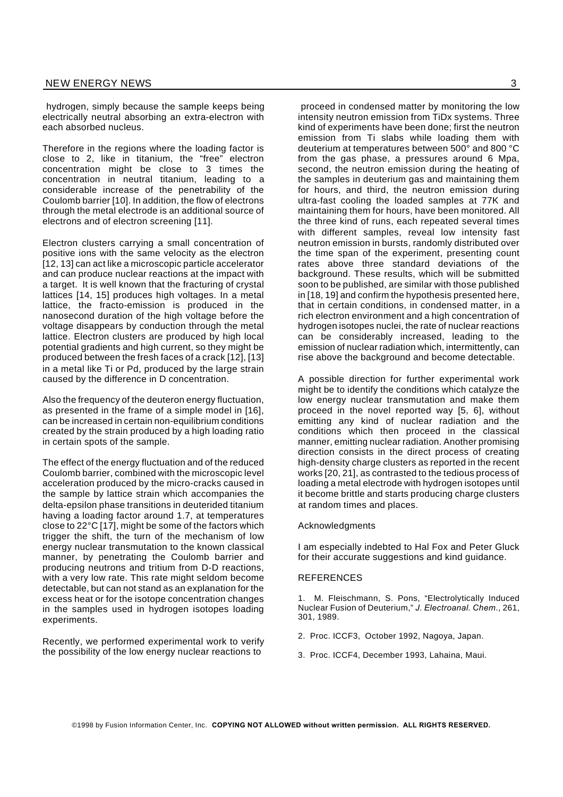hydrogen, simply because the sample keeps being electrically neutral absorbing an extra-electron with each absorbed nucleus.

Therefore in the regions where the loading factor is close to 2, like in titanium, the "free" electron concentration might be close to 3 times the concentration in neutral titanium, leading to a considerable increase of the penetrability of the Coulomb barrier [10]. In addition, the flow of electrons through the metal electrode is an additional source of electrons and of electron screening [11].

Electron clusters carrying a small concentration of positive ions with the same velocity as the electron [12, 13] can act like a microscopic particle accelerator and can produce nuclear reactions at the impact with a target. It is well known that the fracturing of crystal lattices [14, 15] produces high voltages. In a metal lattice, the fracto-emission is produced in the nanosecond duration of the high voltage before the voltage disappears by conduction through the metal lattice. Electron clusters are produced by high local potential gradients and high current, so they might be produced between the fresh faces of a crack [12], [13] in a metal like Ti or Pd, produced by the large strain caused by the difference in D concentration.

Also the frequency of the deuteron energy fluctuation, as presented in the frame of a simple model in [16], can be increased in certain non-equilibrium conditions created by the strain produced by a high loading ratio in certain spots of the sample.

The effect of the energy fluctuation and of the reduced Coulomb barrier, combined with the microscopic level acceleration produced by the micro-cracks caused in the sample by lattice strain which accompanies the delta-epsilon phase transitions in deuterided titanium having a loading factor around 1.7, at temperatures close to 22°C [17], might be some of the factors which trigger the shift, the turn of the mechanism of low energy nuclear transmutation to the known classical manner, by penetrating the Coulomb barrier and producing neutrons and tritium from D-D reactions, with a very low rate. This rate might seldom become detectable, but can not stand as an explanation for the excess heat or for the isotope concentration changes in the samples used in hydrogen isotopes loading experiments.

Recently, we performed experimental work to verify the possibility of the low energy nuclear reactions to

proceed in condensed matter by monitoring the low intensity neutron emission from TiDx systems. Three

kind of experiments have been done; first the neutron emission from Ti slabs while loading them with deuterium at temperatures between 500° and 800 °C from the gas phase, a pressures around 6 Mpa, second, the neutron emission during the heating of the samples in deuterium gas and maintaining them for hours, and third, the neutron emission during ultra-fast cooling the loaded samples at 77K and maintaining them for hours, have been monitored. All the three kind of runs, each repeated several times with different samples, reveal low intensity fast neutron emission in bursts, randomly distributed over the time span of the experiment, presenting count rates above three standard deviations of the background. These results, which will be submitted soon to be published, are similar with those published in [18, 19] and confirm the hypothesis presented here, that in certain conditions, in condensed matter, in a rich electron environment and a high concentration of hydrogen isotopes nuclei, the rate of nuclear reactions can be considerably increased, leading to the emission of nuclear radiation which, intermittently, can rise above the background and become detectable.

A possible direction for further experimental work might be to identify the conditions which catalyze the low energy nuclear transmutation and make them proceed in the novel reported way [5, 6], without emitting any kind of nuclear radiation and the conditions which then proceed in the classical manner, emitting nuclear radiation. Another promising direction consists in the direct process of creating high-density charge clusters as reported in the recent works [20, 21], as contrasted to the tedious process of loading a metal electrode with hydrogen isotopes until it become brittle and starts producing charge clusters at random times and places.

#### Acknowledgments

I am especially indebted to Hal Fox and Peter Gluck for their accurate suggestions and kind guidance.

#### **REFERENCES**

1. M. Fleischmann, S. Pons, "Electrolytically Induced Nuclear Fusion of Deuterium," *J. Electroanal. Chem*., 261, 301, 1989.

- 2. Proc. ICCF3, October 1992, Nagoya, Japan.
- 3. Proc. ICCF4, December 1993, Lahaina, Maui.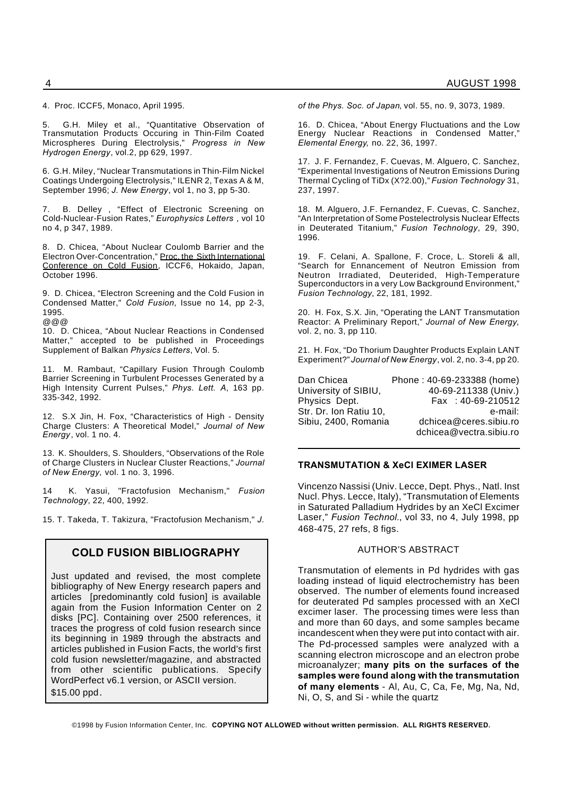4. Proc. ICCF5, Monaco, April 1995.

5. G.H. Miley et al., "Quantitative Observation of Transmutation Products Occuring in Thin-Film Coated Microspheres During Electrolysis," *Progress in New Hydrogen Energy*, vol.2, pp 629, 1997.

6. G.H. Miley, "Nuclear Transmutations in Thin-Film Nickel Coatings Undergoing Electrolysis," ILENR 2, Texas A & M, September 1996; *J. New Energy*, vol 1, no 3, pp 5-30.

B. Delley, "Effect of Electronic Screening on Cold-Nuclear-Fusion Rates," *Europhysics Letters* , vol 10 no 4, p 347, 1989.

8. D. Chicea, "About Nuclear Coulomb Barrier and the Electron Over-Concentration," Proc. the Sixth International Conference on Cold Fusion, ICCF6, Hokaido, Japan, October 1996.

9. D. Chicea, "Electron Screening and the Cold Fusion in Condensed Matter," *Cold Fusion*, Issue no 14, pp 2-3, 1995. @@@

10. D. Chicea, "About Nuclear Reactions in Condensed Matter," accepted to be published in Proceedings Supplement of Balkan *Physics Letters*, Vol. 5.

11. M. Rambaut, "Capillary Fusion Through Coulomb Barrier Screening in Turbulent Processes Generated by a High Intensity Current Pulses," *Phys. Lett. A*, 163 pp. 335-342, 1992.

12. S.X Jin, H. Fox, "Characteristics of High - Density Charge Clusters: A Theoretical Model," *Journal of New Energy*, vol. 1 no. 4.

13. K. Shoulders, S. Shoulders, "Observations of the Role of Charge Clusters in Nuclear Cluster Reactions," *Journal of New Energy*, vol. 1 no. 3, 1996.

14 K. Yasui, "Fractofusion Mechanism," *Fusion Technology*, 22, 400, 1992.

15. T. Takeda, T. Takizura, "Fractofusion Mechanism," *J.*

#### **COLD FUSION BIBLIOGRAPHY**

Just updated and revised, the most complete bibliography of New Energy research papers and articles [predominantly cold fusion] is available again from the Fusion Information Center on 2 disks [PC]. Containing over 2500 references, it traces the progress of cold fusion research since its beginning in 1989 through the abstracts and articles published in Fusion Facts, the world's first cold fusion newsletter/magazine, and abstracted from other scientific publications. Specify WordPerfect v6.1 version, or ASCII version. \$15.00 ppd.

*of the Phys. Soc. of Japan*, vol. 55, no. 9, 3073, 1989.

16. D. Chicea, "About Energy Fluctuations and the Low Energy Nuclear Reactions in Condensed Matter," *Elemental Energy*, no. 22, 36, 1997.

17. J. F. Fernandez, F. Cuevas, M. Alguero, C. Sanchez, "Experimental Investigations of Neutron Emissions During Thermal Cycling of TiDx (X?2.00)," *Fusion Technology* 31, 237, 1997.

18. M. Alguero, J.F. Fernandez, F. Cuevas, C. Sanchez, "An Interpretation of Some Postelectrolysis Nuclear Effects in Deuterated Titanium," *Fusion Technology*, 29, 390, 1996.

19. F. Celani, A. Spallone, F. Croce, L. Storeli & all, "Search for Ennancement of Neutron Emission from Neutron Irradiated, Deuterided, High-Temperature Superconductors in a very Low Background Environment,' *Fusion Technology*, 22, 181, 1992.

20. H. Fox, S.X. Jin, "Operating the LANT Transmutation Reactor: A Preliminary Report," *Journal of New Energy*, vol. 2, no. 3, pp 110.

21. H. Fox, "Do Thorium Daughter Products Explain LANT Experiment?" *Journal of New Energy*, vol. 2, no. 3-4, pp 20.

| Dan Chicea             | Phone: 40-69-233388 (home) |
|------------------------|----------------------------|
| University of SIBIU,   | 40-69-211338 (Univ.)       |
| Physics Dept.          | Fax: 40-69-210512          |
| Str. Dr. Ion Ratiu 10, | e-mail:                    |
| Sibiu, 2400, Romania   | dchicea@ceres.sibiu.ro     |
|                        | dchicea@vectra.sibiu.ro    |

#### **TRANSMUTATION & XeCl EXIMER LASER**

Vincenzo Nassisi (Univ. Lecce, Dept. Phys., Natl. Inst Nucl. Phys. Lecce, Italy), "Transmutation of Elements in Saturated Palladium Hydrides by an XeCl Excimer Laser," *Fusion Technol.*, vol 33, no 4, July 1998, pp 468-475, 27 refs, 8 figs.

#### AUTHOR'S ABSTRACT

Transmutation of elements in Pd hydrides with gas loading instead of liquid electrochemistry has been observed. The number of elements found increased for deuterated Pd samples processed with an XeCl excimer laser. The processing times were less than and more than 60 days, and some samples became incandescent when they were put into contact with air. The Pd-processed samples were analyzed with a scanning electron microscope and an electron probe microanalyzer; **many pits on the surfaces of the samples were found along with the transmutation of many elements** - Al, Au, C, Ca, Fe, Mg, Na, Nd, Ni, O, S, and Si - while the quartz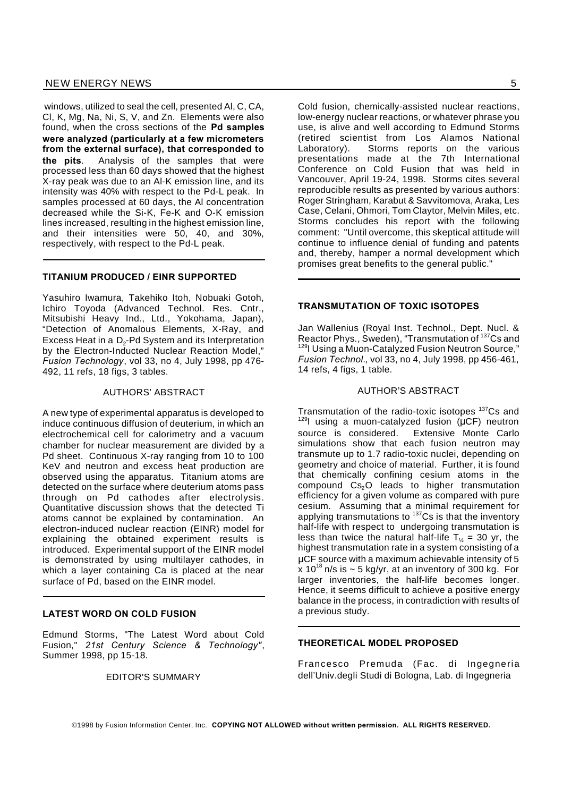windows, utilized to seal the cell, presented Al, C, CA, Cl, K, Mg, Na, Ni, S, V, and Zn. Elements were also found, when the cross sections of the **Pd samples were analyzed (particularly at a few micrometers from the external surface), that corresponded to the pits**. Analysis of the samples that were processed less than 60 days showed that the highest X-ray peak was due to an Al-K emission line, and its intensity was 40% with respect to the Pd-L peak. In samples processed at 60 days, the Al concentration decreased while the Si-K, Fe-K and O-K emission lines increased, resulting in the highest emission line, and their intensities were 50, 40, and 30%, respectively, with respect to the Pd-L peak.

#### **TITANIUM PRODUCED / EINR SUPPORTED**

Yasuhiro Iwamura, Takehiko Itoh, Nobuaki Gotoh, Ichiro Toyoda (Advanced Technol. Res. Cntr., Mitsubishi Heavy Ind., Ltd., Yokohama, Japan), "Detection of Anomalous Elements, X-Ray, and Excess Heat in a  $\mathsf{D}_2\text{-}\mathsf{Pd}$  System and its Interpretation by the Electron-Inducted Nuclear Reaction Model," *Fusion Technology*, vol 33, no 4, July 1998, pp 476- 492, 11 refs, 18 figs, 3 tables.

#### AUTHORS' ABSTRACT

A new type of experimental apparatus is developed to induce continuous diffusion of deuterium, in which an electrochemical cell for calorimetry and a vacuum chamber for nuclear measurement are divided by a Pd sheet. Continuous X-ray ranging from 10 to 100 KeV and neutron and excess heat production are observed using the apparatus. Titanium atoms are detected on the surface where deuterium atoms pass through on Pd cathodes after electrolysis. Quantitative discussion shows that the detected Ti atoms cannot be explained by contamination. An electron-induced nuclear reaction (EINR) model for explaining the obtained experiment results is introduced. Experimental support of the EINR model is demonstrated by using multilayer cathodes, in which a layer containing Ca is placed at the near surface of Pd, based on the EINR model.

#### **LATEST WORD ON COLD FUSION**

Edmund Storms, "The Latest Word about Cold Fusion," *21st Century Science & Technology"*, Summer 1998, pp 15-18.

EDITOR'S SUMMARY

Cold fusion, chemically-assisted nuclear reactions, low-energy nuclear reactions, or whatever phrase you use, is alive and well according to Edmund Storms (retired scientist from Los Alamos National Laboratory). Storms reports on the various presentations made at the 7th International Conference on Cold Fusion that was held in Vancouver, April 19-24, 1998. Storms cites several reproducible results as presented by various authors: Roger Stringham, Karabut & Savvitomova, Araka, Les Case, Celani, Ohmori, Tom Claytor, Melvin Miles, etc. Storms concludes his report with the following comment: "Until overcome, this skeptical attitude will continue to influence denial of funding and patents and, thereby, hamper a normal development which promises great benefits to the general public."

#### **TRANSMUTATION OF TOXIC ISOTOPES**

Jan Wallenius (Royal Inst. Technol., Dept. Nucl. & Reactor Phys., Sweden), "Transmutation of <sup>137</sup>Cs and 129I Using a Muon-Catalyzed Fusion Neutron Source," *Fusion Technol.*, vol 33, no 4, July 1998, pp 456-461, 14 refs, 4 figs, 1 table.

#### AUTHOR'S ABSTRACT

Transmutation of the radio-toxic isotopes <sup>137</sup>Cs and  $129$ I using a muon-catalyzed fusion ( $\mu$ CF) neutron source is considered. Extensive Monte Carlo simulations show that each fusion neutron may transmute up to 1.7 radio-toxic nuclei, depending on geometry and choice of material. Further, it is found that chemically confining cesium atoms in the compound  $Cs<sub>2</sub>O$  leads to higher transmutation efficiency for a given volume as compared with pure cesium. Assuming that a minimal requirement for applying transmutations to <sup>137</sup>Cs is that the inventory half-life with respect to undergoing transmutation is less than twice the natural half-life  $T<sub>16</sub> = 30$  yr, the highest transmutation rate in a system consisting of a CF source with a maximum achievable intensity of 5 x 10<sup>18</sup> n/s is  $\sim$  5 kg/yr, at an inventory of 300 kg. For larger inventories, the half-life becomes longer. Hence, it seems difficult to achieve a positive energy balance in the process, in contradiction with results of a previous study.

#### **THEORETICAL MODEL PROPOSED**

Francesco Premuda (Fac. di Ingegneria dell'Univ.degli Studi di Bologna, Lab. di Ingegneria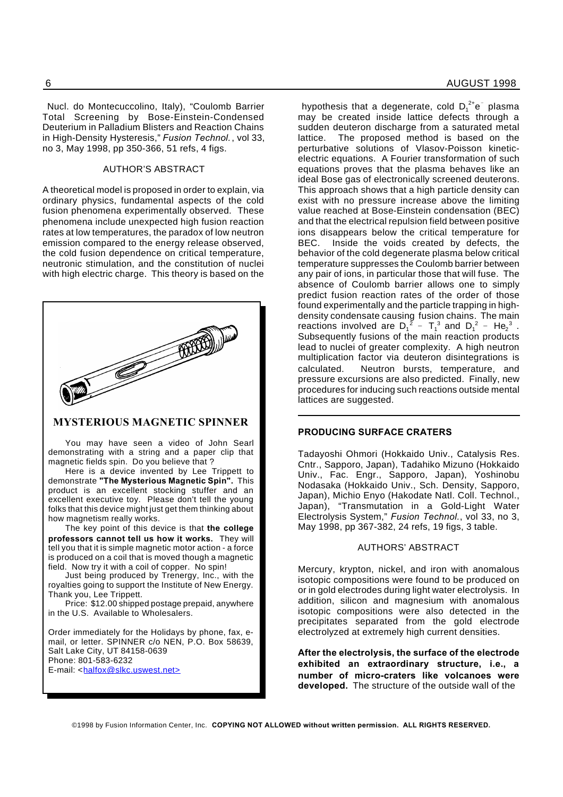Nucl. do Montecuccolino, Italy), "Coulomb Barrier Total Screening by Bose-Einstein-Condensed Deuterium in Palladium Blisters and Reaction Chains in High-Density Hysteresis," *Fusion Technol.*, vol 33, no 3, May 1998, pp 350-366, 51 refs, 4 figs.

#### AUTHOR'S ABSTRACT

A theoretical model is proposed in order to explain, via ordinary physics, fundamental aspects of the cold fusion phenomena experimentally observed. These phenomena include unexpected high fusion reaction rates at low temperatures, the paradox of low neutron emission compared to the energy release observed, the cold fusion dependence on critical temperature, neutronic stimulation, and the constitution of nuclei with high electric charge. This theory is based on the



#### **MYSTERIOUS MAGNETIC SPINNER**

You may have seen a video of John Searl demonstrating with a string and a paper clip that magnetic fields spin. Do you believe that ?

Here is a device invented by Lee Trippett to demonstrate **"The Mysterious Magnetic Spin".** This product is an excellent stocking stuffer and an excellent executive toy. Please don't tell the young folks that this device might just get them thinking about how magnetism really works.

The key point of this device is that **the college professors cannot tell us how it works.** They will tell you that it is simple magnetic motor action - a force is produced on a coil that is moved though a magnetic field. Now try it with a coil of copper. No spin!

Just being produced by Trenergy, Inc., with the royalties going to support the Institute of New Energy. Thank you, Lee Trippett.

Price: \$12.00 shipped postage prepaid, anywhere in the U.S. Available to Wholesalers.

Order immediately for the Holidays by phone, fax, email, or letter. SPINNER c/o NEN, P.O. Box 58639, Salt Lake City, UT 84158-0639 Phone: 801-583-6232 E-mail: <halfox@slkc.uswest.net>

hypothesis that a degenerate, cold  $D_1^2$ <sup>+</sup>e<sup>-</sup> plasma may be created inside lattice defects through a sudden deuteron discharge from a saturated metal lattice. The proposed method is based on the perturbative solutions of Vlasov-Poisson kineticelectric equations. A Fourier transformation of such equations proves that the plasma behaves like an ideal Bose gas of electronically screened deuterons. This approach shows that a high particle density can exist with no pressure increase above the limiting value reached at Bose-Einstein condensation (BEC) and that the electrical repulsion field between positive ions disappears below the critical temperature for BEC. Inside the voids created by defects, the behavior of the cold degenerate plasma below critical temperature suppresses the Coulomb barrier between any pair of ions, in particular those that will fuse. The absence of Coulomb barrier allows one to simply predict fusion reaction rates of the order of those found experimentally and the particle trapping in highdensity condensate causing fusion chains. The main reactions involved are  $D_1^2 - T_1^3$  and  $D_1^2 - He_2^3$ . Subsequently fusions of the main reaction products lead to nuclei of greater complexity. A high neutron multiplication factor via deuteron disintegrations is calculated. Neutron bursts, temperature, and pressure excursions are also predicted. Finally, new procedures for inducing such reactions outside mental lattices are suggested.

#### **PRODUCING SURFACE CRATERS**

Tadayoshi Ohmori (Hokkaido Univ., Catalysis Res. Cntr., Sapporo, Japan), Tadahiko Mizuno (Hokkaido Univ., Fac. Engr., Sapporo, Japan), Yoshinobu Nodasaka (Hokkaido Univ., Sch. Density, Sapporo, Japan), Michio Enyo (Hakodate Natl. Coll. Technol., Japan), "Transmutation in a Gold-Light Water Electrolysis System," *Fusion Technol.*, vol 33, no 3, May 1998, pp 367-382, 24 refs, 19 figs, 3 table.

#### AUTHORS' ABSTRACT

Mercury, krypton, nickel, and iron with anomalous isotopic compositions were found to be produced on or in gold electrodes during light water electrolysis. In addition, silicon and magnesium with anomalous isotopic compositions were also detected in the precipitates separated from the gold electrode electrolyzed at extremely high current densities.

**After the electrolysis, the surface of the electrode exhibited an extraordinary structure, i.e., a number of micro-craters like volcanoes were developed.** The structure of the outside wall of the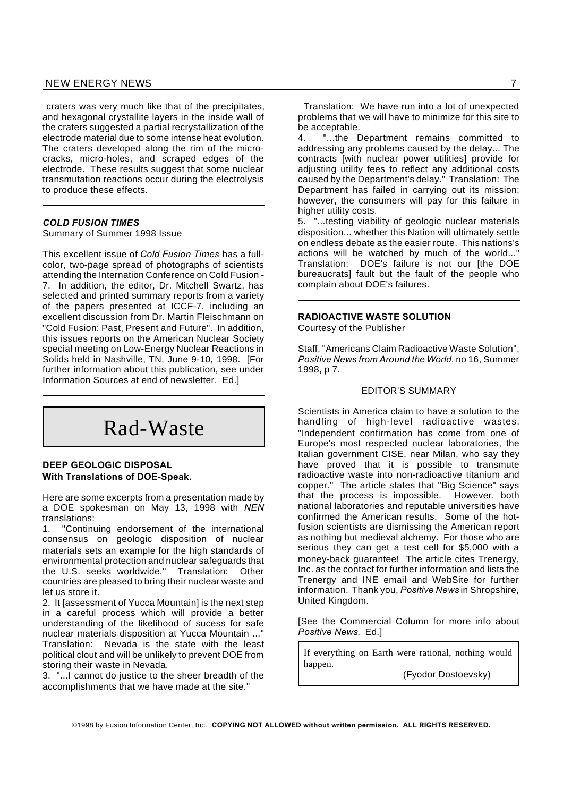#### NEW ENERGY NEWS 7 and 200 minutes and 200 minutes of the contract of the contract of the contract of the contract of the contract of the contract of the contract of the contract of the contract of the contract of the contr

craters was very much like that of the precipitates, and hexagonal crystallite layers in the inside wall of the craters suggested a partial recrystallization of the electrode material due to some intense heat evolution. The craters developed along the rim of the microcracks, micro-holes, and scraped edges of the electrode. These results suggest that some nuclear transmutation reactions occur during the electrolysis to produce these effects.

#### *COLD FUSION TIMES*

Summary of Summer 1998 Issue

This excellent issue of *Cold Fusion Times* has a fullcolor, two-page spread of photographs of scientists attending the Internation Conference on Cold Fusion - 7. In addition, the editor, Dr. Mitchell Swartz, has selected and printed summary reports from a variety of the papers presented at ICCF-7, including an excellent discussion from Dr. Martin Fleischmann on "Cold Fusion: Past, Present and Future". In addition, this issues reports on the American Nuclear Society special meeting on Low-Energy Nuclear Reactions in Solids held in Nashville, TN, June 9-10, 1998. [For further information about this publication, see under Information Sources at end of newsletter. Ed.]

## Rad-Waste

#### **DEEP GEOLOGIC DISPOSAL With Translations of DOE-Speak.**

Here are some excerpts from a presentation made by a DOE spokesman on May 13, 1998 with *NEN* translations:

1. "Continuing endorsement of the international consensus on geologic disposition of nuclear materials sets an example for the high standards of environmental protection and nuclear safeguards that the U.S. seeks worldwide." Translation: Other countries are pleased to bring their nuclear waste and let us store it.

2. It [assessment of Yucca Mountain] is the next step in a careful process which will provide a better understanding of the likelihood of sucess for safe nuclear materials disposition at Yucca Mountain ..." Translation: Nevada is the state with the least political clout and will be unlikely to prevent DOE from storing their waste in Nevada.

3. "...I cannot do justice to the sheer breadth of the accomplishments that we have made at the site."

Translation: We have run into a lot of unexpected problems that we will have to minimize for this site to be acceptable.

4. "...the Department remains committed to addressing any problems caused by the delay... The contracts [with nuclear power utilities] provide for adjusting utility fees to reflect any additional costs caused by the Department's delay." Translation: The Department has failed in carrying out its mission; however, the consumers will pay for this failure in higher utility costs.

5. "...testing viability of geologic nuclear materials disposition... whether this Nation will ultimately settle on endless debate as the easier route. This nations's actions will be watched by much of the world..." Translation: DOE's failure is not our [the DOE bureaucrats] fault but the fault of the people who complain about DOE's failures.

#### **RADIOACTIVE WASTE SOLUTION**

Courtesy of the Publisher

Staff, "Americans Claim Radioactive Waste Solution", *Positive News from Around the World*, no 16, Summer 1998, p 7.

#### EDITOR'S SUMMARY

Scientists in America claim to have a solution to the handling of high-level radioactive wastes. "Independent confirmation has come from one of Europe's most respected nuclear laboratories, the Italian government CISE, near Milan, who say they have proved that it is possible to transmute radioactive waste into non-radioactive titanium and copper." The article states that "Big Science" says that the process is impossible. However, both national laboratories and reputable universities have confirmed the American results. Some of the hotfusion scientists are dismissing the American report as nothing but medieval alchemy. For those who are serious they can get a test cell for \$5,000 with a money-back guarantee! The article cites Trenergy, Inc. as the contact for further information and lists the Trenergy and INE email and WebSite for further information. Thank you, *Positive News* in Shropshire, United Kingdom.

[See the Commercial Column for more info about *Positive News*. Ed.]

If everything on Earth were rational, nothing would happen.

(Fyodor Dostoevsky)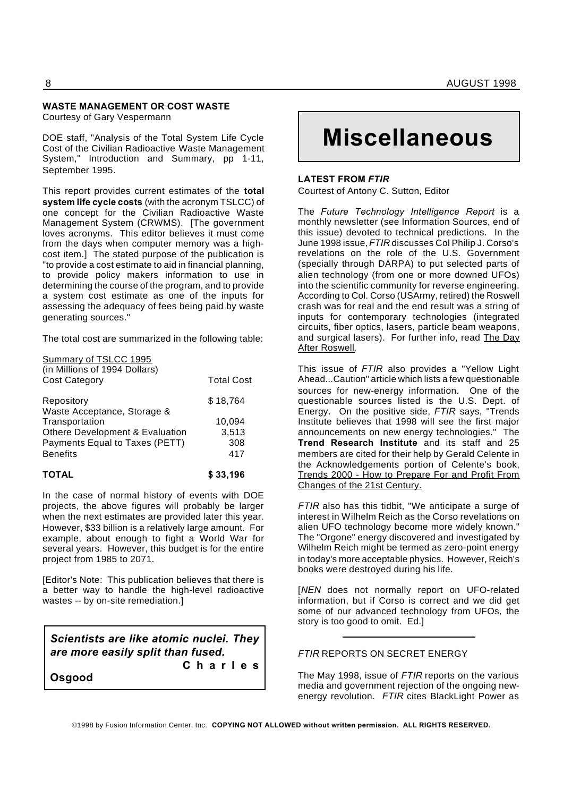## **WASTE MANAGEMENT OR COST WASTE**

Courtesy of Gary Vespermann

DOE staff, "Analysis of the Total System Life Cycle Cost of the Civilian Radioactive Waste Management System," Introduction and Summary, pp 1-11, September 1995.

This report provides current estimates of the **total system life cycle costs** (with the acronym TSLCC) of one concept for the Civilian Radioactive Waste Management System (CRWMS). [The government loves acronyms. This editor believes it must come from the days when computer memory was a highcost item.] The stated purpose of the publication is "to provide a cost estimate to aid in financial planning, to provide policy makers information to use in determining the course of the program, and to provide a system cost estimate as one of the inputs for assessing the adequacy of fees being paid by waste generating sources."

The total cost are summarized in the following table:

| Summary of TSLCC 1995<br>(in Millions of 1994 Dollars) |                   |
|--------------------------------------------------------|-------------------|
| <b>Cost Category</b>                                   | <b>Total Cost</b> |
| Repository<br>Waste Acceptance, Storage &              | \$18,764          |
| Transportation                                         | 10,094            |
| Othere Development & Evaluation                        | 3,513             |
| Payments Equal to Taxes (PETT)                         | 308               |
| <b>Benefits</b>                                        | 417               |

#### **TOTAL \$ 33,196**

In the case of normal history of events with DOE projects, the above figures will probably be larger when the next estimates are provided later this year. However, \$33 billion is a relatively large amount. For example, about enough to fight a World War for several years. However, this budget is for the entire project from 1985 to 2071.

[Editor's Note: This publication believes that there is a better way to handle the high-level radioactive wastes -- by on-site remediation.]

*Scientists are like atomic nuclei. They are more easily split than fused.*

**C h a r l e s**

**Osgood**

# **Miscellaneous**

#### **LATEST FROM** *FTIR*

Courtest of Antony C. Sutton, Editor

The *Future Technology Intelligence Report* is a monthly newsletter (see Information Sources, end of this issue) devoted to technical predictions. In the June 1998 issue,*FTIR* discusses Col Philip J. Corso's revelations on the role of the U.S. Government (specially through DARPA) to put selected parts of alien technology (from one or more downed UFOs) into the scientific community for reverse engineering. According to Col. Corso (USArmy, retired) the Roswell crash was for real and the end result was a string of inputs for contemporary technologies (integrated circuits, fiber optics, lasers, particle beam weapons, and surgical lasers). For further info, read The Day After Roswell.

This issue of *FTIR* also provides a "Yellow Light Ahead...Caution" article which lists a few questionable sources for new-energy information. One of the questionable sources listed is the U.S. Dept. of Energy. On the positive side, *FTIR* says, "Trends Institute believes that 1998 will see the first major announcements on new energy technologies." The **Trend Research Institute** and its staff and 25 members are cited for their help by Gerald Celente in the Acknowledgements portion of Celente's book, Trends 2000 - How to Prepare For and Profit From Changes of the 21st Century.

*FTIR* also has this tidbit, "We anticipate a surge of interest in Wilhelm Reich as the Corso revelations on alien UFO technology become more widely known." The "Orgone" energy discovered and investigated by Wilhelm Reich might be termed as zero-point energy in today's more acceptable physics. However, Reich's books were destroyed during his life.

[*NEN* does not normally report on UFO-related information, but if Corso is correct and we did get some of our advanced technology from UFOs, the story is too good to omit. Ed.]

#### *FTIR* REPORTS ON SECRET ENERGY

The May 1998, issue of *FTIR* reports on the various media and government rejection of the ongoing newenergy revolution. *FTIR* cites BlackLight Power as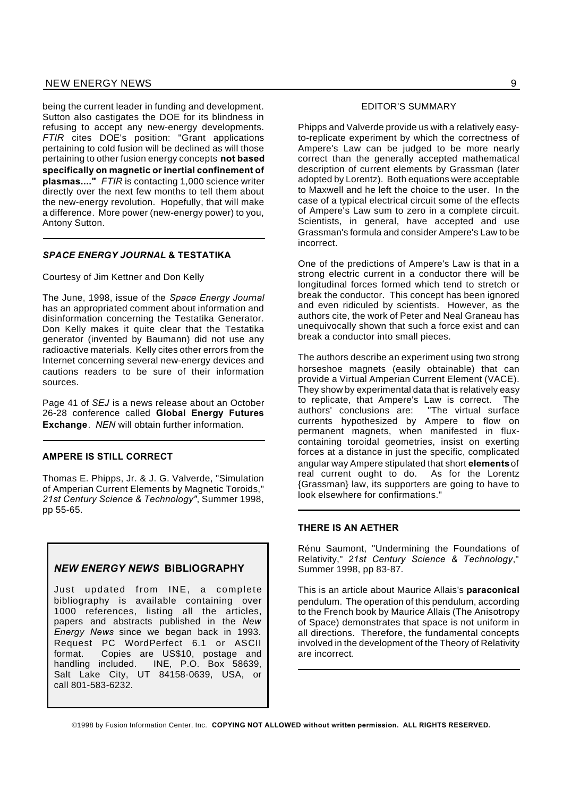being the current leader in funding and development. Sutton also castigates the DOE for its blindness in refusing to accept any new-energy developments. *FTIR* cites DOE's position: "Grant applications pertaining to cold fusion will be declined as will those pertaining to other fusion energy concepts **not based specifically on magnetic or inertial confinement of plasmas...."** *FTIR* is contacting 1,000 science writer directly over the next few months to tell them about the new-energy revolution. Hopefully, that will make a difference. More power (new-energy power) to you, Antony Sutton.

#### *SPACE ENERGY JOURNAL* **& TESTATIKA**

Courtesy of Jim Kettner and Don Kelly

The June, 1998, issue of the *Space Energy Journal* has an appropriated comment about information and disinformation concerning the Testatika Generator. Don Kelly makes it quite clear that the Testatika generator (invented by Baumann) did not use any radioactive materials. Kelly cites other errors from the Internet concerning several new-energy devices and cautions readers to be sure of their information sources.

Page 41 of *SEJ* is a news release about an October 26-28 conference called **Global Energy Futures Exchange**. *NEN* will obtain further information.

#### **AMPERE IS STILL CORRECT**

Thomas E. Phipps, Jr. & J. G. Valverde, "Simulation of Amperian Current Elements by Magnetic Toroids," *21st Century Science & Technology"*, Summer 1998, pp 55-65.

#### *NEW ENERGY NEWS* **BIBLIOGRAPHY**

Just updated from INE, a complete bibliography is available containing over 1000 references, listing all the articles, papers and abstracts published in the *New Energy News* since we began back in 1993. Request PC WordPerfect 6.1 or ASCII format. Copies are US\$10, postage and handling included. INE, P.O. Box 58639, Salt Lake City, UT 84158-0639, USA, or call 801-583-6232.

#### EDITOR'S SUMMARY

Phipps and Valverde provide us with a relatively easyto-replicate experiment by which the correctness of Ampere's Law can be judged to be more nearly correct than the generally accepted mathematical description of current elements by Grassman (later adopted by Lorentz). Both equations were acceptable to Maxwell and he left the choice to the user. In the case of a typical electrical circuit some of the effects of Ampere's Law sum to zero in a complete circuit. Scientists, in general, have accepted and use Grassman's formula and consider Ampere's Law to be incorrect.

One of the predictions of Ampere's Law is that in a strong electric current in a conductor there will be longitudinal forces formed which tend to stretch or break the conductor. This concept has been ignored and even ridiculed by scientists. However, as the authors cite, the work of Peter and Neal Graneau has unequivocally shown that such a force exist and can break a conductor into small pieces.

The authors describe an experiment using two strong horseshoe magnets (easily obtainable) that can provide a Virtual Amperian Current Element (VACE). They show by experimental data that is relatively easy to replicate, that Ampere's Law is correct. The authors' conclusions are: "The virtual surface currents hypothesized by Ampere to flow on permanent magnets, when manifested in fluxcontaining toroidal geometries, insist on exerting forces at a distance in just the specific, complicated angular way Ampere stipulated that short **elements** of real current ought to do. As for the Lorentz {Grassman} law, its supporters are going to have to look elsewhere for confirmations."

#### **THERE IS AN AETHER**

Rénu Saumont, "Undermining the Foundations of Relativity," *21st Century Science & Technology*," Summer 1998, pp 83-87.

This is an article about Maurice Allais's **paraconical** pendulum. The operation of this pendulum, according to the French book by Maurice Allais (The Anisotropy of Space) demonstrates that space is not uniform in all directions. Therefore, the fundamental concepts involved in the development of the Theory of Relativity are incorrect.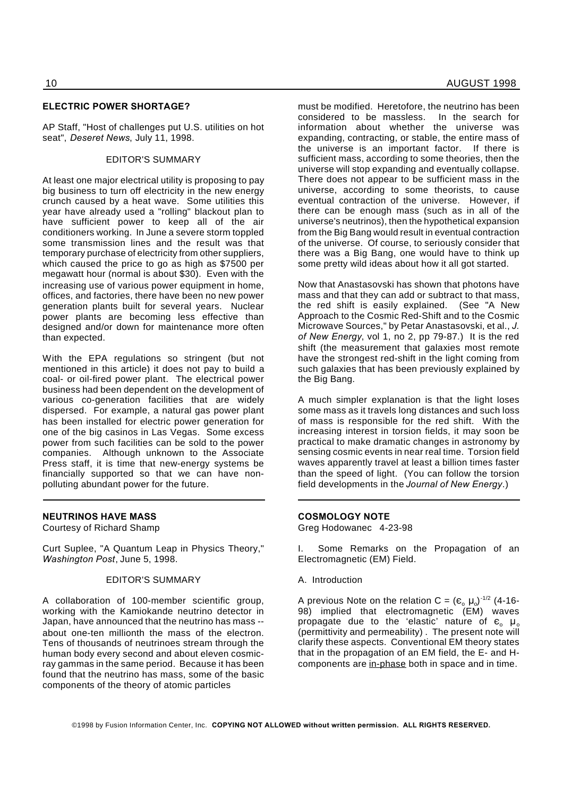#### **ELECTRIC POWER SHORTAGE?**

AP Staff, "Host of challenges put U.S. utilities on hot seat", *Deseret News*, July 11, 1998.

#### EDITOR'S SUMMARY

At least one major electrical utility is proposing to pay big business to turn off electricity in the new energy crunch caused by a heat wave. Some utilities this year have already used a "rolling" blackout plan to have sufficient power to keep all of the air conditioners working. In June a severe storm toppled some transmission lines and the result was that temporary purchase of electricity from other suppliers, which caused the price to go as high as \$7500 per megawatt hour (normal is about \$30). Even with the increasing use of various power equipment in home, offices, and factories, there have been no new power generation plants built for several years. Nuclear power plants are becoming less effective than designed and/or down for maintenance more often than expected.

With the EPA regulations so stringent (but not mentioned in this article) it does not pay to build a coal- or oil-fired power plant. The electrical power business had been dependent on the development of various co-generation facilities that are widely dispersed. For example, a natural gas power plant has been installed for electric power generation for one of the big casinos in Las Vegas. Some excess power from such facilities can be sold to the power companies. Although unknown to the Associate Press staff, it is time that new-energy systems be financially supported so that we can have nonpolluting abundant power for the future.

#### **NEUTRINOS HAVE MASS**

Courtesy of Richard Shamp

Curt Suplee, "A Quantum Leap in Physics Theory," *Washington Post*, June 5, 1998.

#### EDITOR'S SUMMARY

A collaboration of 100-member scientific group, working with the Kamiokande neutrino detector in Japan, have announced that the neutrino has mass - about one-ten millionth the mass of the electron. Tens of thousands of neutrinoes stream through the human body every second and about eleven cosmicray gammas in the same period. Because it has been found that the neutrino has mass, some of the basic components of the theory of atomic particles

must be modified. Heretofore, the neutrino has been considered to be massless. In the search for information about whether the universe was expanding, contracting, or stable, the entire mass of the universe is an important factor. If there is sufficient mass, according to some theories, then the universe will stop expanding and eventually collapse. There does not appear to be sufficient mass in the universe, according to some theorists, to cause eventual contraction of the universe. However, if there can be enough mass (such as in all of the universe's neutrinos), then the hypothetical expansion from the Big Bang would result in eventual contraction of the universe. Of course, to seriously consider that there was a Big Bang, one would have to think up some pretty wild ideas about how it all got started.

Now that Anastasovski has shown that photons have mass and that they can add or subtract to that mass, the red shift is easily explained. (See "A New Approach to the Cosmic Red-Shift and to the Cosmic Microwave Sources," by Petar Anastasovski, et al., *J. of New Energy*, vol 1, no 2, pp 79-87.) It is the red shift (the measurement that galaxies most remote have the strongest red-shift in the light coming from such galaxies that has been previously explained by the Big Bang.

A much simpler explanation is that the light loses some mass as it travels long distances and such loss of mass is responsible for the red shift. With the increasing interest in torsion fields, it may soon be practical to make dramatic changes in astronomy by sensing cosmic events in near real time. Torsion field waves apparently travel at least a billion times faster than the speed of light. (You can follow the torsion field developments in the *Journal of New Energy*.)

#### **COSMOLOGY NOTE**

Greg Hodowanec 4-23-98

I. Some Remarks on the Propagation of an Electromagnetic (EM) Field.

#### A. Introduction

A previous Note on the relation C = ( $\varepsilon_{o}$   $\mu_{o}$ )<sup>-1/2</sup> (4-16-98) implied that electromagnetic (EM) waves propagate due to the 'elastic' nature of  $\epsilon_{0}$   $\mu_{0}$ (permittivity and permeability) . The present note will clarify these aspects. Conventional EM theory states that in the propagation of an EM field, the E- and Hcomponents are in-phase both in space and in time.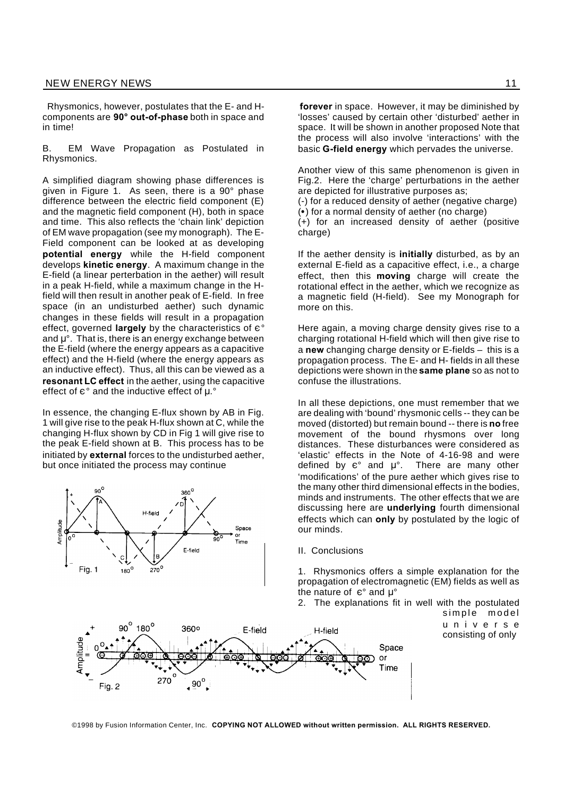Rhysmonics, however, postulates that the E- and Hcomponents are **90° out-of-phase** both in space and in time!

B. EM Wave Propagation as Postulated in Rhysmonics.

A simplified diagram showing phase differences is given in Figure 1. As seen, there is a 90° phase difference between the electric field component (E) and the magnetic field component (H), both in space and time. This also reflects the 'chain link' depiction of EM wave propagation (see my monograph). The E-Field component can be looked at as developing **potential energy** while the H-field component develops **kinetic energy**. A maximum change in the E-field (a linear perterbation in the aether) will result in a peak H-field, while a maximum change in the Hfield will then result in another peak of E-field. In free space (in an undisturbed aether) such dynamic changes in these fields will result in a propagation effect, governed **largely** by the characteristics of  $e^{\circ}$ and  $\mu^{\circ}$ . That is, there is an energy exchange between the E-field (where the energy appears as a capacitive effect) and the H-field (where the energy appears as an inductive effect). Thus, all this can be viewed as a **resonant LC effect** in the aether, using the capacitive effect of  $e^{\circ}$  and the inductive effect of  $\mu$ .

In essence, the changing E-flux shown by AB in Fig. 1 will give rise to the peak H-flux shown at C, while the changing H-flux shown by CD in Fig 1 will give rise to the peak E-field shown at B. This process has to be initiated by **external** forces to the undisturbed aether, but once initiated the process may continue



 $\overline{.90}^{\circ}$ 

Fig. 2

**forever** in space. However, it may be diminished by 'losses' caused by certain other 'disturbed' aether in space. It will be shown in another proposed Note that the process will also involve 'interactions' with the basic **G-field energy** which pervades the universe.

Another view of this same phenomenon is given in Fig.2. Here the 'charge' perturbations in the aether are depicted for illustrative purposes as;

(-) for a reduced density of aether (negative charge)

() for a normal density of aether (no charge) (+) for an increased density of aether (positive

charge)

If the aether density is **initially** disturbed, as by an external E-field as a capacitive effect, i.e., a charge effect, then this **moving** charge will create the rotational effect in the aether, which we recognize as a magnetic field (H-field). See my Monograph for more on this.

Here again, a moving charge density gives rise to a charging rotational H-field which will then give rise to a **new** changing charge density or E-fields – this is a propagation process. The E- and H- fields in all these depictions were shown in the **same plane** so as not to confuse the illustrations.

In all these depictions, one must remember that we are dealing with 'bound' rhysmonic cells -- they can be moved (distorted) but remain bound -- there is **no** free movement of the bound rhysmons over long distances. These disturbances were considered as 'elastic' effects in the Note of 4-16-98 and were defined by  $\varepsilon$ ° and  $\mu$ °. There are many other 'modifications' of the pure aether which gives rise to the many other third dimensional effects in the bodies, minds and instruments. The other effects that we are discussing here are **underlying** fourth dimensional effects which can **only** by postulated by the logic of our minds.

II. Conclusions

1. Rhysmonics offers a simple explanation for the propagation of electromagnetic (EM) fields as well as the nature of  $e^{\circ}$  and  $\mu^{\circ}$ 

2. The explanations fit in well with the postulated

Space or Time

simple model u n i v e r s e consisting of only

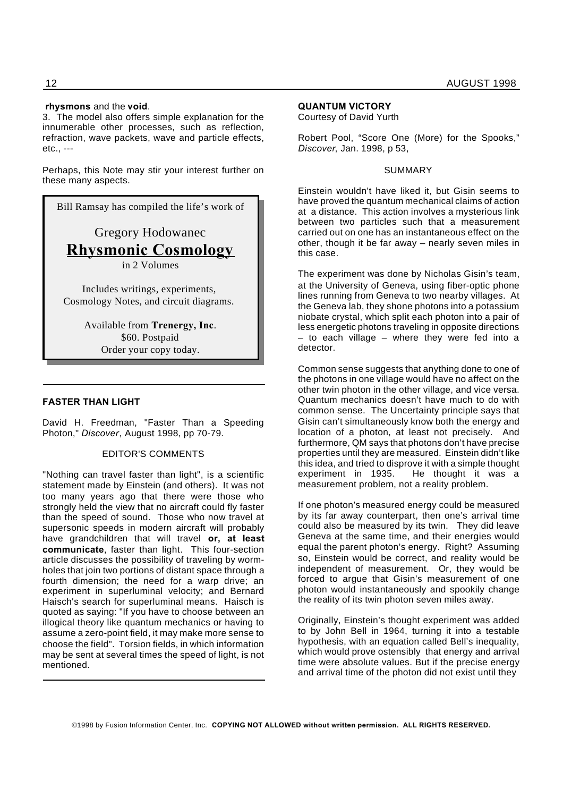#### **rhysmons** and the **void**.

3. The model also offers simple explanation for the innumerable other processes, such as reflection, refraction, wave packets, wave and particle effects, etc., ---

Perhaps, this Note may stir your interest further on these many aspects.

Bill Ramsay has compiled the life's work of

Gregory Hodowanec **Rhysmonic Cosmology** in 2 Volumes

Includes writings, experiments, Cosmology Notes, and circuit diagrams.

> Available from **Trenergy, Inc**. \$60. Postpaid Order your copy today.

#### **FASTER THAN LIGHT**

David H. Freedman, "Faster Than a Speeding Photon," *Discover*, August 1998, pp 70-79.

#### EDITOR'S COMMENTS

"Nothing can travel faster than light", is a scientific statement made by Einstein (and others). It was not too many years ago that there were those who strongly held the view that no aircraft could fly faster than the speed of sound. Those who now travel at supersonic speeds in modern aircraft will probably have grandchildren that will travel **or, at least communicate**, faster than light. This four-section article discusses the possibility of traveling by wormholes that join two portions of distant space through a fourth dimension; the need for a warp drive; an experiment in superluminal velocity; and Bernard Haisch's search for superluminal means. Haisch is quoted as saying: "If you have to choose between an illogical theory like quantum mechanics or having to assume a zero-point field, it may make more sense to choose the field". Torsion fields, in which information may be sent at several times the speed of light, is not mentioned.

#### **QUANTUM VICTORY**

Courtesy of David Yurth

Robert Pool, "Score One (More) for the Spooks," *Discover*, Jan. 1998, p 53,

#### SUMMARY

Einstein wouldn't have liked it, but Gisin seems to have proved the quantum mechanical claims of action at a distance. This action involves a mysterious link between two particles such that a measurement carried out on one has an instantaneous effect on the other, though it be far away – nearly seven miles in this case.

The experiment was done by Nicholas Gisin's team, at the University of Geneva, using fiber-optic phone lines running from Geneva to two nearby villages. At the Geneva lab, they shone photons into a potassium niobate crystal, which split each photon into a pair of less energetic photons traveling in opposite directions – to each village – where they were fed into a detector.

Common sense suggests that anything done to one of the photons in one village would have no affect on the other twin photon in the other village, and vice versa. Quantum mechanics doesn't have much to do with common sense. The Uncertainty principle says that Gisin can't simultaneously know both the energy and location of a photon, at least not precisely. And furthermore, QM says that photons don't have precise properties until they are measured. Einstein didn't like this idea, and tried to disprove it with a simple thought experiment in 1935. He thought it was a measurement problem, not a reality problem.

If one photon's measured energy could be measured by its far away counterpart, then one's arrival time could also be measured by its twin. They did leave Geneva at the same time, and their energies would equal the parent photon's energy. Right? Assuming so, Einstein would be correct, and reality would be independent of measurement. Or, they would be forced to argue that Gisin's measurement of one photon would instantaneously and spookily change the reality of its twin photon seven miles away.

Originally, Einstein's thought experiment was added to by John Bell in 1964, turning it into a testable hypothesis, with an equation called Bell's inequality, which would prove ostensibly that energy and arrival time were absolute values. But if the precise energy and arrival time of the photon did not exist until they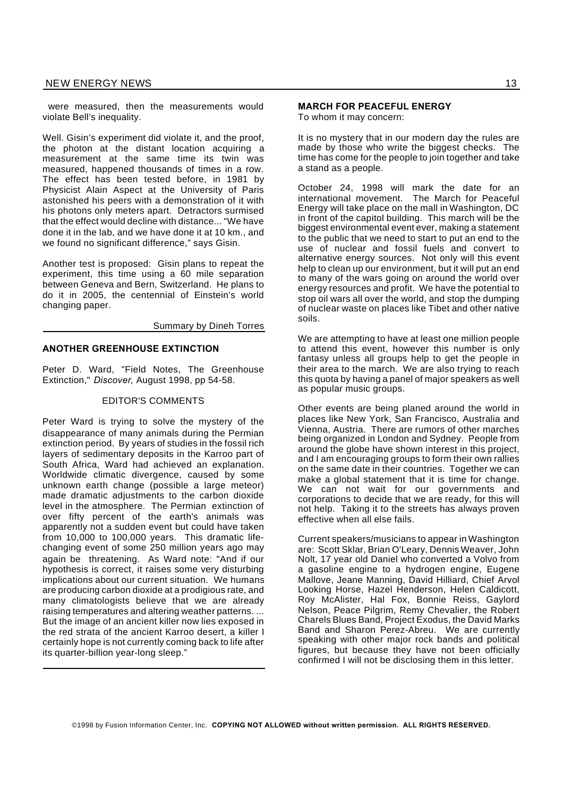were measured, then the measurements would violate Bell's inequality.

Well. Gisin's experiment did violate it, and the proof, the photon at the distant location acquiring a measurement at the same time its twin was measured, happened thousands of times in a row. The effect has been tested before, in 1981 by Physicist Alain Aspect at the University of Paris astonished his peers with a demonstration of it with his photons only meters apart. Detractors surmised that the effect would decline with distance... "We have done it in the lab, and we have done it at 10 km., and we found no significant difference," says Gisin.

Another test is proposed: Gisin plans to repeat the experiment, this time using a 60 mile separation between Geneva and Bern, Switzerland. He plans to do it in 2005, the centennial of Einstein's world changing paper.

Summary by Dineh Torres

#### **ANOTHER GREENHOUSE EXTINCTION**

Peter D. Ward, "Field Notes, The Greenhouse Extinction," *Discover*, August 1998, pp 54-58.

#### EDITOR'S COMMENTS

Peter Ward is trying to solve the mystery of the disappearance of many animals during the Permian extinction period. By years of studies in the fossil rich layers of sedimentary deposits in the Karroo part of South Africa, Ward had achieved an explanation. Worldwide climatic divergence, caused by some unknown earth change (possible a large meteor) made dramatic adjustments to the carbon dioxide level in the atmosphere. The Permian extinction of over fifty percent of the earth's animals was apparently not a sudden event but could have taken from 10,000 to 100,000 years. This dramatic lifechanging event of some 250 million years ago may again be threatening. As Ward note: "And if our hypothesis is correct, it raises some very disturbing implications about our current situation. We humans are producing carbon dioxide at a prodigious rate, and many climatologists believe that we are already raising temperatures and altering weather patterns. ... But the image of an ancient killer now lies exposed in the red strata of the ancient Karroo desert, a killer I certainly hope is not currently coming back to life after its quarter-billion year-long sleep."

To whom it may concern:

It is no mystery that in our modern day the rules are made by those who write the biggest checks. The time has come for the people to join together and take a stand as a people.

October 24, 1998 will mark the date for an international movement. The March for Peaceful Energy will take place on the mall in Washington, DC in front of the capitol building. This march will be the biggest environmental event ever, making a statement to the public that we need to start to put an end to the use of nuclear and fossil fuels and convert to alternative energy sources. Not only will this event help to clean up our environment, but it will put an end to many of the wars going on around the world over energy resources and profit. We have the potential to stop oil wars all over the world, and stop the dumping of nuclear waste on places like Tibet and other native soils.

We are attempting to have at least one million people to attend this event, however this number is only fantasy unless all groups help to get the people in their area to the march. We are also trying to reach this quota by having a panel of major speakers as well as popular music groups.

Other events are being planed around the world in places like New York, San Francisco, Australia and Vienna, Austria. There are rumors of other marches being organized in London and Sydney. People from around the globe have shown interest in this project, and I am encouraging groups to form their own rallies on the same date in their countries. Together we can make a global statement that it is time for change. We can not wait for our governments and corporations to decide that we are ready, for this will not help. Taking it to the streets has always proven effective when all else fails.

Current speakers/musicians to appear in Washington are: Scott Sklar, Brian O'Leary, Dennis Weaver, John Nolt, 17 year old Daniel who converted a Volvo from a gasoline engine to a hydrogen engine, Eugene Mallove, Jeane Manning, David Hilliard, Chief Arvol Looking Horse, Hazel Henderson, Helen Caldicott, Roy McAlister, Hal Fox, Bonnie Reiss, Gaylord Nelson, Peace Pilgrim, Remy Chevalier, the Robert Charels Blues Band, Project Exodus, the David Marks Band and Sharon Perez-Abreu. We are currently speaking with other major rock bands and political figures, but because they have not been officially confirmed I will not be disclosing them in this letter.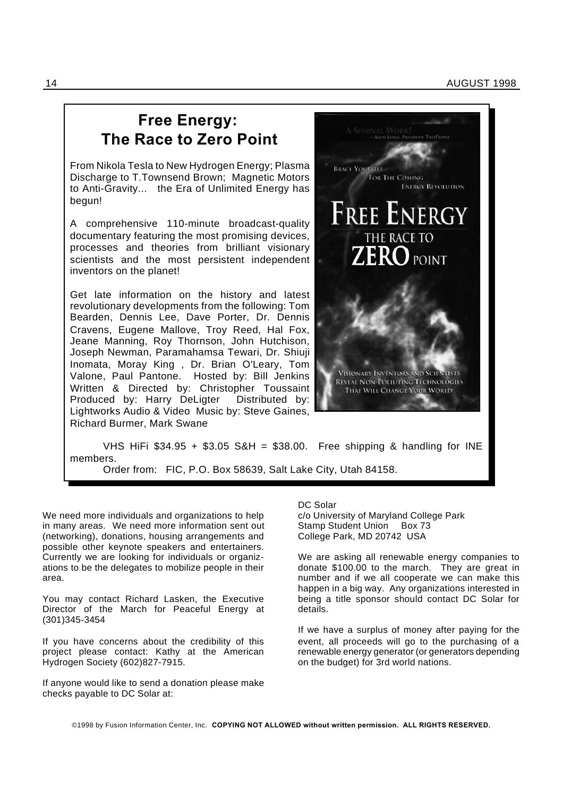## **Free Energy: The Race to Zero Point**

From Nikola Tesla to New Hydrogen Energy; Plasma Discharge to T.Townsend Brown; Magnetic Motors to Anti-Gravity... the Era of Unlimited Energy has begun!

A comprehensive 110-minute broadcast-quality documentary featuring the most promising devices, processes and theories from brilliant visionary scientists and the most persistent independent inventors on the planet!

Get late information on the history and latest revolutionary developments from the following: Tom Bearden, Dennis Lee, Dave Porter, Dr. Dennis Cravens, Eugene Mallove, Troy Reed, Hal Fox, Jeane Manning, Roy Thornson, John Hutchison, Joseph Newman, Paramahamsa Tewari, Dr. Shiuji Inomata, Moray King , Dr. Brian O'Leary, Tom Valone, Paul Pantone. Hosted by: Bill Jenkins Written & Directed by: Christopher Toussaint Produced by: Harry DeLigter Distributed by: Lightworks Audio & Video Music by: Steve Gaines, Richard Burmer, Mark Swane



VHS HiFi  $$34.95 + $3.05$  S&H = \$38.00. Free shipping & handling for INE members.

Order from: FIC, P.O. Box 58639, Salt Lake City, Utah 84158.

We need more individuals and organizations to help in many areas. We need more information sent out (networking), donations, housing arrangements and possible other keynote speakers and entertainers. Currently we are looking for individuals or organizations to be the delegates to mobilize people in their area.

You may contact Richard Lasken, the Executive Director of the March for Peaceful Energy at (301)345-3454

If you have concerns about the credibility of this project please contact: Kathy at the American Hydrogen Society (602)827-7915.

If anyone would like to send a donation please make checks payable to DC Solar at:

DC Solar c/o University of Maryland College Park Stamp Student Union Box 73 College Park, MD 20742 USA

We are asking all renewable energy companies to donate \$100.00 to the march. They are great in number and if we all cooperate we can make this happen in a big way. Any organizations interested in being a title sponsor should contact DC Solar for details.

If we have a surplus of money after paying for the event, all proceeds will go to the purchasing of a renewable energy generator (or generators depending on the budget) for 3rd world nations.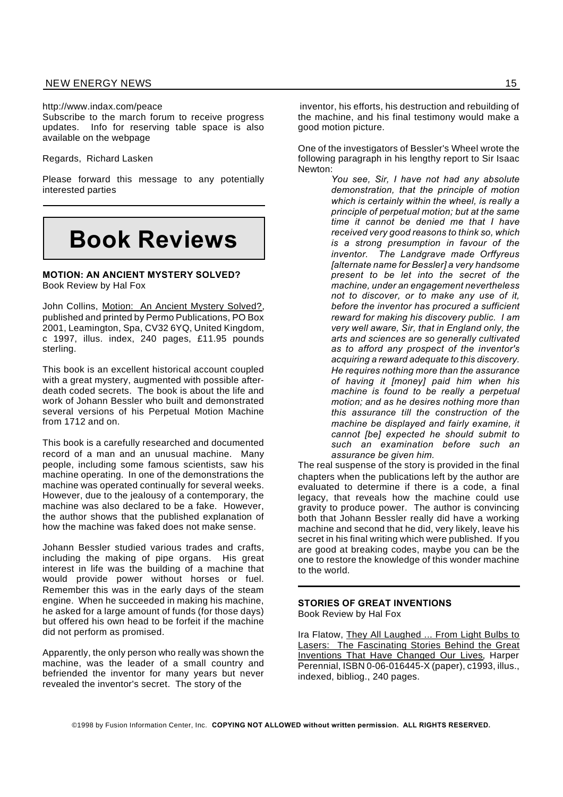http://www.indax.com/peace

Subscribe to the march forum to receive progress updates. Info for reserving table space is also available on the webpage

Regards, Richard Lasken

Please forward this message to any potentially interested parties

# **Book Reviews**

**MOTION: AN ANCIENT MYSTERY SOLVED?** Book Review by Hal Fox

John Collins, Motion: An Ancient Mystery Solved?, published and printed by Permo Publications, PO Box 2001, Leamington, Spa, CV32 6YQ, United Kingdom, c 1997, illus. index, 240 pages, £11.95 pounds sterling.

This book is an excellent historical account coupled with a great mystery, augmented with possible afterdeath coded secrets. The book is about the life and work of Johann Bessler who built and demonstrated several versions of his Perpetual Motion Machine from 1712 and on.

This book is a carefully researched and documented record of a man and an unusual machine. Many people, including some famous scientists, saw his machine operating. In one of the demonstrations the machine was operated continually for several weeks. However, due to the jealousy of a contemporary, the machine was also declared to be a fake. However, the author shows that the published explanation of how the machine was faked does not make sense.

Johann Bessler studied various trades and crafts, including the making of pipe organs. His great interest in life was the building of a machine that would provide power without horses or fuel. Remember this was in the early days of the steam engine. When he succeeded in making his machine, he asked for a large amount of funds (for those days) but offered his own head to be forfeit if the machine did not perform as promised.

Apparently, the only person who really was shown the machine, was the leader of a small country and befriended the inventor for many years but never revealed the inventor's secret. The story of the

inventor, his efforts, his destruction and rebuilding of the machine, and his final testimony would make a good motion picture.

One of the investigators of Bessler's Wheel wrote the following paragraph in his lengthy report to Sir Isaac Newton:

> *You see, Sir, I have not had any absolute demonstration, that the principle of motion which is certainly within the wheel, is really a principle of perpetual motion; but at the same time it cannot be denied me that I have received very good reasons to think so, which is a strong presumption in favour of the inventor. The Landgrave made Orffyreus [alternate name for Bessler] a very handsome present to be let into the secret of the machine, under an engagement nevertheless not to discover, or to make any use of it, before the inventor has procured a sufficient reward for making his discovery public. I am very well aware, Sir, that in England only, the arts and sciences are so generally cultivated as to afford any prospect of the inventor's acquiring a reward adequate to this discovery. He requires nothing more than the assurance of having it [money] paid him when his machine is found to be really a perpetual motion; and as he desires nothing more than this assurance till the construction of the machine be displayed and fairly examine, it cannot [be] expected he should submit to such an examination before such an assurance be given him.*

The real suspense of the story is provided in the final chapters when the publications left by the author are evaluated to determine if there is a code, a final legacy, that reveals how the machine could use gravity to produce power. The author is convincing both that Johann Bessler really did have a working machine and second that he did, very likely, leave his secret in his final writing which were published. If you are good at breaking codes, maybe you can be the one to restore the knowledge of this wonder machine to the world.

#### **STORIES OF GREAT INVENTIONS** Book Review by Hal Fox

Ira Flatow, They All Laughed ... From Light Bulbs to Lasers: The Fascinating Stories Behind the Great Inventions That Have Changed Our Lives, Harper Perennial, ISBN 0-06-016445-X (paper), c1993, illus., indexed, bibliog., 240 pages.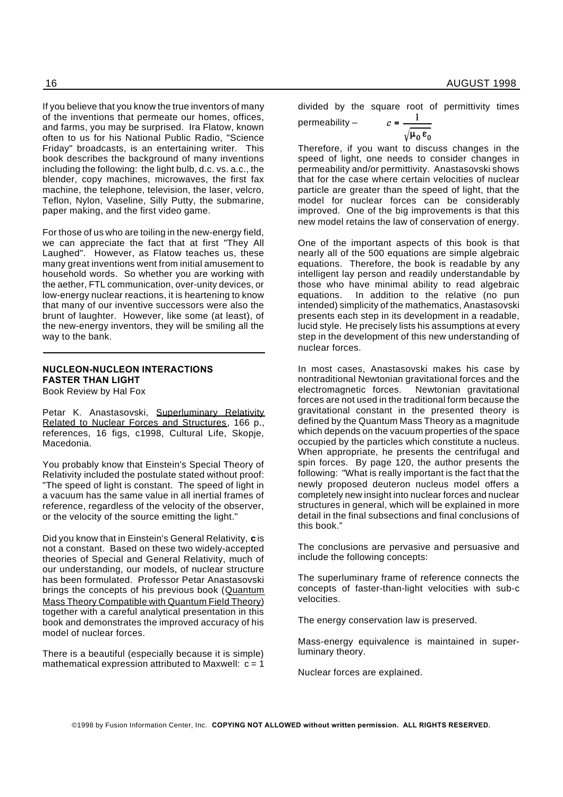If you believe that you know the true inventors of many of the inventions that permeate our homes, offices, and farms, you may be surprised. Ira Flatow, known often to us for his National Public Radio, "Science Friday" broadcasts, is an entertaining writer. This book describes the background of many inventions including the following: the light bulb, d.c. vs. a.c., the blender, copy machines, microwaves, the first fax machine, the telephone, television, the laser, velcro, Teflon, Nylon, Vaseline, Silly Putty, the submarine, paper making, and the first video game.

For those of us who are toiling in the new-energy field, we can appreciate the fact that at first "They All Laughed". However, as Flatow teaches us, these many great inventions went from initial amusement to household words. So whether you are working with the aether, FTL communication, over-unity devices, or low-energy nuclear reactions, it is heartening to know that many of our inventive successors were also the brunt of laughter. However, like some (at least), of the new-energy inventors, they will be smiling all the way to the bank.

#### **NUCLEON-NUCLEON INTERACTIONS FASTER THAN LIGHT** Book Review by Hal Fox

Petar K. Anastasovski, Superluminary Relativity Related to Nuclear Forces and Structures, 166 p., references, 16 figs, c1998, Cultural Life, Skopje, Macedonia.

You probably know that Einstein's Special Theory of Relativity included the postulate stated without proof: "The speed of light is constant. The speed of light in a vacuum has the same value in all inertial frames of reference, regardless of the velocity of the observer, or the velocity of the source emitting the light."

Did you know that in Einstein's General Relativity, **c** is not a constant. Based on these two widely-accepted theories of Special and General Relativity, much of our understanding, our models, of nuclear structure has been formulated. Professor Petar Anastasovski brings the concepts of his previous book (Quantum Mass Theory Compatible with Quantum Field Theory) together with a careful analytical presentation in this book and demonstrates the improved accuracy of his model of nuclear forces.

There is a beautiful (especially because it is simple) mathematical expression attributed to Maxwell:  $c = 1$ 

16 AUGUST 1998

divided by the square root of permittivity times  $c = \mathbf{1}$ permeability –

$$
\sqrt{\mu_0\,\epsilon_0}
$$

Therefore, if you want to discuss changes in the speed of light, one needs to consider changes in permeability and/or permittivity. Anastasovski shows that for the case where certain velocities of nuclear particle are greater than the speed of light, that the model for nuclear forces can be considerably improved. One of the big improvements is that this new model retains the law of conservation of energy.

One of the important aspects of this book is that nearly all of the 500 equations are simple algebraic equations. Therefore, the book is readable by any intelligent lay person and readily understandable by those who have minimal ability to read algebraic equations. In addition to the relative (no pun intended) simplicity of the mathematics, Anastasovski presents each step in its development in a readable, lucid style. He precisely lists his assumptions at every step in the development of this new understanding of nuclear forces.

In most cases, Anastasovski makes his case by nontraditional Newtonian gravitational forces and the electromagnetic forces. Newtonian gravitational forces are not used in the traditional form because the gravitational constant in the presented theory is defined by the Quantum Mass Theory as a magnitude which depends on the vacuum properties of the space occupied by the particles which constitute a nucleus. When appropriate, he presents the centrifugal and spin forces. By page 120, the author presents the following: "What is really important is the fact that the newly proposed deuteron nucleus model offers a completely new insight into nuclear forces and nuclear structures in general, which will be explained in more detail in the final subsections and final conclusions of this book."

The conclusions are pervasive and persuasive and include the following concepts:

The superluminary frame of reference connects the concepts of faster-than-light velocities with sub-c velocities.

The energy conservation law is preserved.

Mass-energy equivalence is maintained in superluminary theory.

Nuclear forces are explained.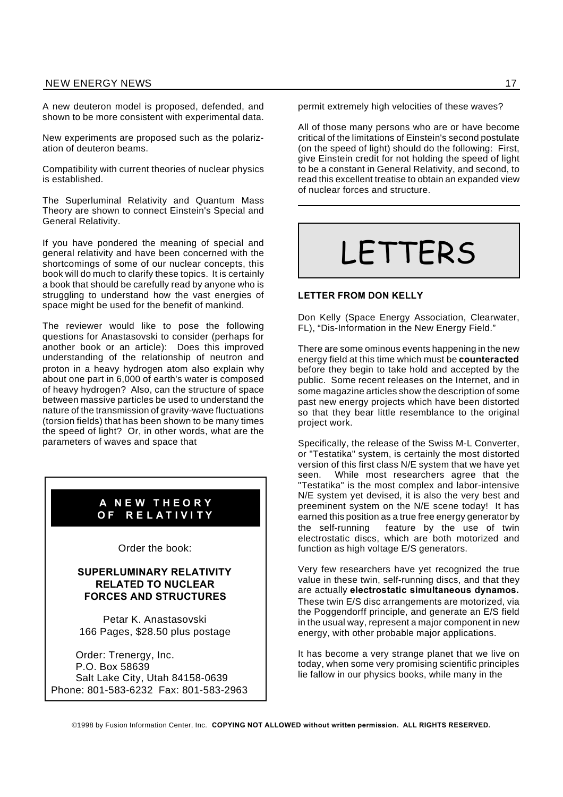A new deuteron model is proposed, defended, and shown to be more consistent with experimental data.

New experiments are proposed such as the polarization of deuteron beams.

Compatibility with current theories of nuclear physics is established.

The Superluminal Relativity and Quantum Mass Theory are shown to connect Einstein's Special and General Relativity.

If you have pondered the meaning of special and general relativity and have been concerned with the shortcomings of some of our nuclear concepts, this book will do much to clarify these topics. It is certainly a book that should be carefully read by anyone who is struggling to understand how the vast energies of space might be used for the benefit of mankind.

The reviewer would like to pose the following questions for Anastasovski to consider (perhaps for another book or an article): Does this improved understanding of the relationship of neutron and proton in a heavy hydrogen atom also explain why about one part in 6,000 of earth's water is composed of heavy hydrogen? Also, can the structure of space between massive particles be used to understand the nature of the transmission of gravity-wave fluctuations (torsion fields) that has been shown to be many times the speed of light? Or, in other words, what are the parameters of waves and space that

#### **A N E W T H E O R Y O F R E L A T I V I T Y**

Order the book:

#### **SUPERLUMINARY RELATIVITY RELATED TO NUCLEAR FORCES AND STRUCTURES**

Petar K. Anastasovski 166 Pages, \$28.50 plus postage

Order: Trenergy, Inc. P.O. Box 58639 Salt Lake City, Utah 84158-0639 Phone: 801-583-6232 Fax: 801-583-2963 permit extremely high velocities of these waves?

All of those many persons who are or have become critical of the limitations of Einstein's second postulate (on the speed of light) should do the following: First, give Einstein credit for not holding the speed of light to be a constant in General Relativity, and second, to read this excellent treatise to obtain an expanded view of nuclear forces and structure.

# LETTERS

#### **LETTER FROM DON KELLY**

Don Kelly (Space Energy Association, Clearwater, FL), "Dis-Information in the New Energy Field."

There are some ominous events happening in the new energy field at this time which must be **counteracted** before they begin to take hold and accepted by the public. Some recent releases on the Internet, and in some magazine articles show the description of some past new energy projects which have been distorted so that they bear little resemblance to the original project work.

Specifically, the release of the Swiss M-L Converter, or "Testatika" system, is certainly the most distorted version of this first class N/E system that we have yet seen. While most researchers agree that the "Testatika" is the most complex and labor-intensive N/E system yet devised, it is also the very best and preeminent system on the N/E scene today! It has earned this position as a true free energy generator by the self-running feature by the use of twin electrostatic discs, which are both motorized and function as high voltage E/S generators.

Very few researchers have yet recognized the true value in these twin, self-running discs, and that they are actually **electrostatic simultaneous dynamos.** These twin E/S disc arrangements are motorized, via the Poggendorff principle, and generate an E/S field in the usual way, represent a major component in new energy, with other probable major applications.

It has become a very strange planet that we live on today, when some very promising scientific principles lie fallow in our physics books, while many in the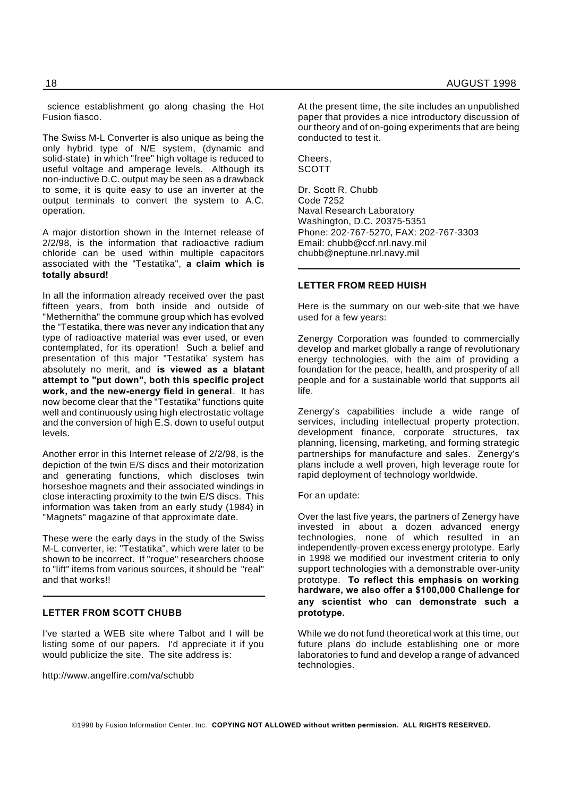science establishment go along chasing the Hot Fusion fiasco.

The Swiss M-L Converter is also unique as being the only hybrid type of N/E system, (dynamic and solid-state) in which "free" high voltage is reduced to useful voltage and amperage levels. Although its non-inductive D.C. output may be seen as a drawback to some, it is quite easy to use an inverter at the output terminals to convert the system to A.C. operation.

A major distortion shown in the Internet release of 2/2/98, is the information that radioactive radium chloride can be used within multiple capacitors associated with the "Testatika", **a claim which is totally absurd!**

In all the information already received over the past fifteen years, from both inside and outside of "Methernitha" the commune group which has evolved the "Testatika, there was never any indication that any type of radioactive material was ever used, or even contemplated, for its operation! Such a belief and presentation of this major "Testatika' system has absolutely no merit, and **is viewed as a blatant attempt to "put down", both this specific project work, and the new-energy field in general**. It has now become clear that the "Testatika" functions quite well and continuously using high electrostatic voltage and the conversion of high E.S. down to useful output levels.

Another error in this Internet release of 2/2/98, is the depiction of the twin E/S discs and their motorization and generating functions, which discloses twin horseshoe magnets and their associated windings in close interacting proximity to the twin E/S discs. This information was taken from an early study (1984) in "Magnets" magazine of that approximate date.

These were the early days in the study of the Swiss M-L converter, ie: "Testatika", which were later to be shown to be incorrect. If "rogue" researchers choose to "lift" items from various sources, it should be "real" and that works!!

#### **LETTER FROM SCOTT CHUBB**

I've started a WEB site where Talbot and I will be listing some of our papers. I'd appreciate it if you would publicize the site. The site address is:

http://www.angelfire.com/va/schubb

At the present time, the site includes an unpublished paper that provides a nice introductory discussion of our theory and of on-going experiments that are being conducted to test it.

Cheers, **SCOTT** 

Dr. Scott R. Chubb Code 7252 Naval Research Laboratory Washington, D.C. 20375-5351 Phone: 202-767-5270, FAX: 202-767-3303 Email: chubb@ccf.nrl.navy.mil chubb@neptune.nrl.navy.mil

#### **LETTER FROM REED HUISH**

Here is the summary on our web-site that we have used for a few years:

Zenergy Corporation was founded to commercially develop and market globally a range of revolutionary energy technologies, with the aim of providing a foundation for the peace, health, and prosperity of all people and for a sustainable world that supports all life.

Zenergy's capabilities include a wide range of services, including intellectual property protection, development finance, corporate structures, tax planning, licensing, marketing, and forming strategic partnerships for manufacture and sales. Zenergy's plans include a well proven, high leverage route for rapid deployment of technology worldwide.

For an update:

Over the last five years, the partners of Zenergy have invested in about a dozen advanced energy technologies, none of which resulted in an independently-proven excess energy prototype. Early in 1998 we modified our investment criteria to only support technologies with a demonstrable over-unity prototype. **To reflect this emphasis on working hardware, we also offer a \$100,000 Challenge for any scientist who can demonstrate such a prototype.**

While we do not fund theoretical work at this time, our future plans do include establishing one or more laboratories to fund and develop a range of advanced technologies.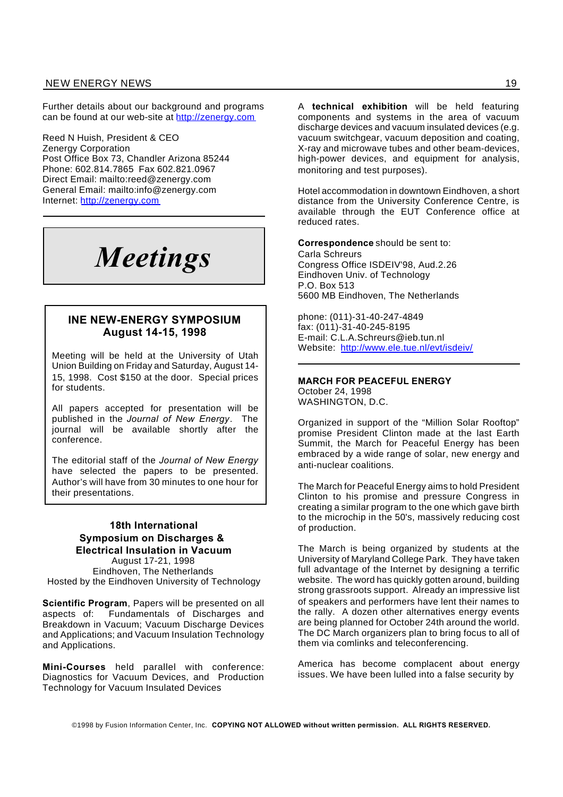Further details about our background and programs can be found at our web-site at http://zenergy.com

Reed N Huish, President & CEO Zenergy Corporation Post Office Box 73, Chandler Arizona 85244 Phone: 602.814.7865 Fax 602.821.0967 Direct Email: mailto:reed@zenergy.com General Email: mailto:info@zenergy.com Internet: http://zenergy.com

# *Meetings*

#### **INE NEW-ENERGY SYMPOSIUM August 14-15, 1998**

Meeting will be held at the University of Utah Union Building on Friday and Saturday, August 14- 15, 1998. Cost \$150 at the door. Special prices for students.

All papers accepted for presentation will be published in the *Journal of New Energy*. The journal will be available shortly after the conference.

The editorial staff of the *Journal of New Energy* have selected the papers to be presented. Author's will have from 30 minutes to one hour for their presentations.

#### **18th International Symposium on Discharges & Electrical Insulation in Vacuum**

August 17-21, 1998 Eindhoven, The Netherlands Hosted by the Eindhoven University of Technology

**Scientific Program**, Papers will be presented on all aspects of: Fundamentals of Discharges and Breakdown in Vacuum; Vacuum Discharge Devices and Applications; and Vacuum Insulation Technology and Applications.

**Mini-Courses** held parallel with conference: Diagnostics for Vacuum Devices, and Production Technology for Vacuum Insulated Devices

A **technical exhibition** will be held featuring components and systems in the area of vacuum discharge devices and vacuum insulated devices (e.g. vacuum switchgear, vacuum deposition and coating, X-ray and microwave tubes and other beam-devices, high-power devices, and equipment for analysis, monitoring and test purposes).

Hotel accommodation in downtown Eindhoven, a short distance from the University Conference Centre, is available through the EUT Conference office at reduced rates.

**Correspondence** should be sent to: Carla Schreurs Congress Office ISDEIV'98, Aud.2.26 Eindhoven Univ. of Technology P.O. Box 513 5600 MB Eindhoven, The Netherlands

phone: (011)-31-40-247-4849 fax: (011)-31-40-245-8195 E-mail: C.L.A.Schreurs@ieb.tun.nl Website: http://www.ele.tue.nl/evt/isdeiv/

#### **MARCH FOR PEACEFUL ENERGY**

October 24, 1998 WASHINGTON, D.C.

Organized in support of the "Million Solar Rooftop" promise President Clinton made at the last Earth Summit, the March for Peaceful Energy has been embraced by a wide range of solar, new energy and anti-nuclear coalitions.

The March for Peaceful Energy aims to hold President Clinton to his promise and pressure Congress in creating a similar program to the one which gave birth to the microchip in the 50's, massively reducing cost of production.

The March is being organized by students at the University of Maryland College Park. They have taken full advantage of the Internet by designing a terrific website. The word has quickly gotten around, building strong grassroots support. Already an impressive list of speakers and performers have lent their names to the rally. A dozen other alternatives energy events are being planned for October 24th around the world. The DC March organizers plan to bring focus to all of them via comlinks and teleconferencing.

America has become complacent about energy issues. We have been lulled into a false security by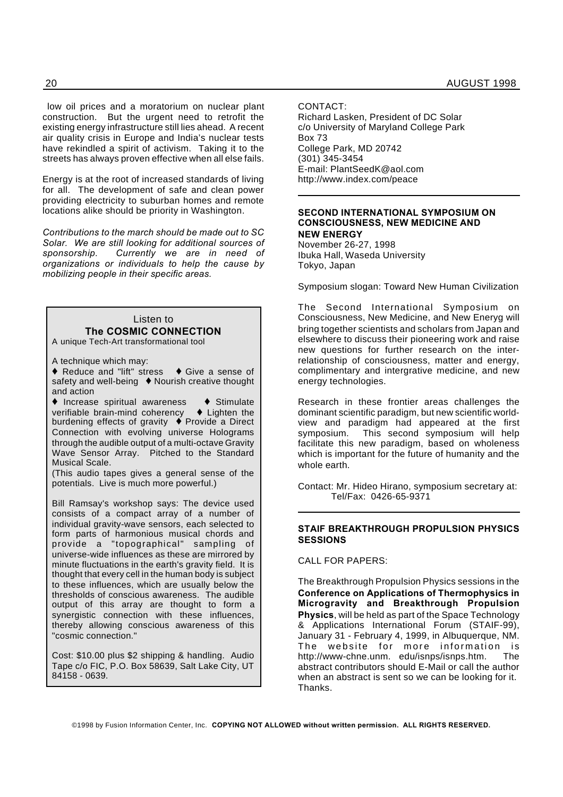low oil prices and a moratorium on nuclear plant construction. But the urgent need to retrofit the existing energy infrastructure still lies ahead. A recent air quality crisis in Europe and India's nuclear tests have rekindled a spirit of activism. Taking it to the streets has always proven effective when all else fails.

Energy is at the root of increased standards of living for all. The development of safe and clean power providing electricity to suburban homes and remote locations alike should be priority in Washington.

*Contributions to the march should be made out to SC Solar. We are still looking for additional sources of sponsorship. Currently we are in need of organizations or individuals to help the cause by mobilizing people in their specific areas.*

Listen to **The COSMIC CONNECTION** A unique Tech-Art transformational tool

A technique which may:

 $\triangle$  Reduce and "lift" stress  $\triangle$  Give a sense of safety and well-being  $\blacklozenge$  Nourish creative thought and action

 $\triangle$  Increase spiritual awareness  $\triangle$  Stimulate verifiable brain-mind coherency  $\blacklozenge$  Lighten the burdening effects of gravity  $\stackrel{\bullet}{\blacktriangleright}$  Provide a Direct Connection with evolving universe Holograms through the audible output of a multi-octave Gravity Wave Sensor Array. Pitched to the Standard Musical Scale.

(This audio tapes gives a general sense of the potentials. Live is much more powerful.)

Bill Ramsay's workshop says: The device used consists of a compact array of a number of individual gravity-wave sensors, each selected to form parts of harmonious musical chords and provide a "topographical" sampling of universe-wide influences as these are mirrored by minute fluctuations in the earth's gravity field. It is thought that every cell in the human body is subject to these influences, which are usually below the thresholds of conscious awareness. The audible output of this array are thought to form a synergistic connection with these influences, thereby allowing conscious awareness of this "cosmic connection."

Cost: \$10.00 plus \$2 shipping & handling. Audio Tape c/o FIC, P.O. Box 58639, Salt Lake City, UT 84158 - 0639.

CONTACT:

Richard Lasken, President of DC Solar c/o University of Maryland College Park Box 73 College Park, MD 20742 (301) 345-3454 E-mail: PlantSeedK@aol.com http://www.index.com/peace

#### **SECOND INTERNATIONAL SYMPOSIUM ON CONSCIOUSNESS, NEW MEDICINE AND NEW ENERGY**

November 26-27, 1998 Ibuka Hall, Waseda University Tokyo, Japan

Symposium slogan: Toward New Human Civilization

The Second International Symposium on Consciousness, New Medicine, and New Eneryg will bring together scientists and scholars from Japan and elsewhere to discuss their pioneering work and raise new questions for further research on the interrelationship of consciousness, matter and energy, complimentary and intergrative medicine, and new energy technologies.

Research in these frontier areas challenges the dominant scientific paradigm, but new scientific worldview and paradigm had appeared at the first symposium. This second symposium will help facilitate this new paradigm, based on wholeness which is important for the future of humanity and the whole earth.

Contact: Mr. Hideo Hirano, symposium secretary at: Tel/Fax: 0426-65-9371

#### **STAIF BREAKTHROUGH PROPULSION PHYSICS SESSIONS**

CALL FOR PAPERS:

The Breakthrough Propulsion Physics sessions in the **Conference on Applications of Thermophysics in Microgravity and Breakthrough Propulsion Physics**, will be held as part of the Space Technology & Applications International Forum (STAIF-99), January 31 - February 4, 1999, in Albuquerque, NM. The website for more information is http://www-chne.unm. edu/isnps/isnps.htm. The abstract contributors should E-Mail or call the author when an abstract is sent so we can be looking for it. Thanks.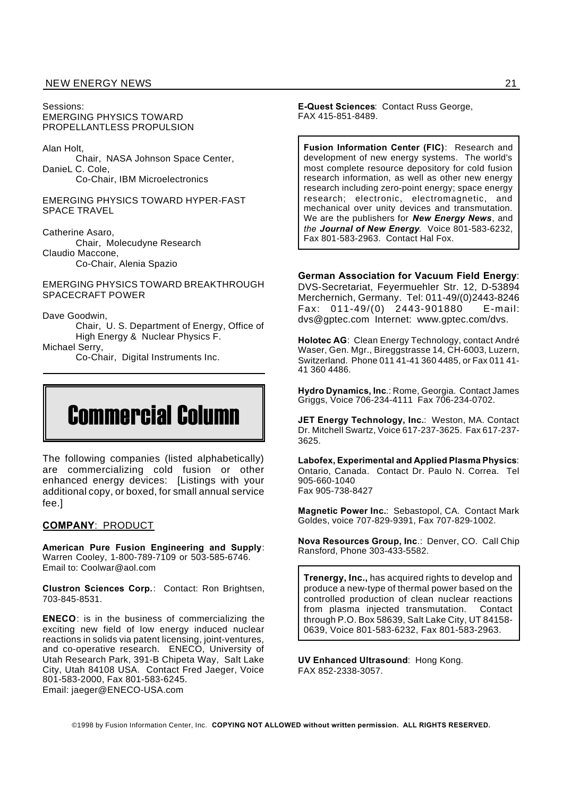Sessions: EMERGING PHYSICS TOWARD PROPELLANTLESS PROPULSION

Alan Holt,

Chair, NASA Johnson Space Center, DanieL C. Cole, Co-Chair, IBM Microelectronics

EMERGING PHYSICS TOWARD HYPER-FAST SPACE TRAVEL

Catherine Asaro, Chair, Molecudyne Research Claudio Maccone, Co-Chair, Alenia Spazio

EMERGING PHYSICS TOWARD BREAKTHROUGH SPACECRAFT POWER

Dave Goodwin,

Chair, U. S. Department of Energy, Office of High Energy & Nuclear Physics F.

Michael Serry,

Co-Chair, Digital Instruments Inc.



The following companies (listed alphabetically) are commercializing cold fusion or other enhanced energy devices: [Listings with your additional copy, or boxed, for small annual service fee.]

#### **COMPANY**: PRODUCT

**American Pure Fusion Engineering and Supply**: Warren Cooley, 1-800-789-7109 or 503-585-6746. Email to: Coolwar@aol.com

**Clustron Sciences Corp.**: Contact: Ron Brightsen, 703-845-8531.

**ENECO**: is in the business of commercializing the exciting new field of low energy induced nuclear reactions in solids via patent licensing, joint-ventures, and co-operative research. ENECO, University of Utah Research Park, 391-B Chipeta Way, Salt Lake City, Utah 84108 USA. Contact Fred Jaeger, Voice 801-583-2000, Fax 801-583-6245. Email: jaeger@ENECO-USA.com

**E-Quest Sciences**: Contact Russ George, FAX 415-851-8489.

**Fusion Information Center (FIC)**: Research and development of new energy systems. The world's most complete resource depository for cold fusion research information, as well as other new energy research including zero-point energy; space energy research; electronic, electromagnetic, and mechanical over unity devices and transmutation. We are the publishers for *New Energy News*, and *the Journal of New Energy.* Voice 801-583-6232, Fax 801-583-2963. Contact Hal Fox.

**German Association for Vacuum Field Energy**: DVS-Secretariat, Feyermuehler Str. 12, D-53894 Merchernich, Germany. Tel: 011-49/(0)2443-8246 Fax: 011-49/(0) 2443-901880 E-mail: dvs@gptec.com Internet: www.gptec.com/dvs.

**Holotec AG**: Clean Energy Technology, contact André Waser, Gen. Mgr., Bireggstrasse 14, CH-6003, Luzern, Switzerland. Phone 011 41-41 360 4485, or Fax 011 41- 41 360 4486.

**Hydro Dynamics, Inc**.: Rome, Georgia. Contact James Griggs, Voice 706-234-4111 Fax 706-234-0702.

**JET Energy Technology, Inc.**: Weston, MA. Contact Dr. Mitchell Swartz, Voice 617-237-3625. Fax 617-237- 3625.

**Labofex, Experimental and Applied Plasma Physics**: Ontario, Canada. Contact Dr. Paulo N. Correa. Tel 905-660-1040 Fax 905-738-8427

**Magnetic Power Inc.**: Sebastopol, CA. Contact Mark Goldes, voice 707-829-9391, Fax 707-829-1002.

**Nova Resources Group, Inc**.: Denver, CO. Call Chip Ransford, Phone 303-433-5582.

**Trenergy, Inc.,** has acquired rights to develop and produce a new-type of thermal power based on the controlled production of clean nuclear reactions from plasma injected transmutation. Contact through P.O. Box 58639, Salt Lake City, UT 84158- 0639, Voice 801-583-6232, Fax 801-583-2963.

**UV Enhanced Ultrasound**: Hong Kong. FAX 852-2338-3057.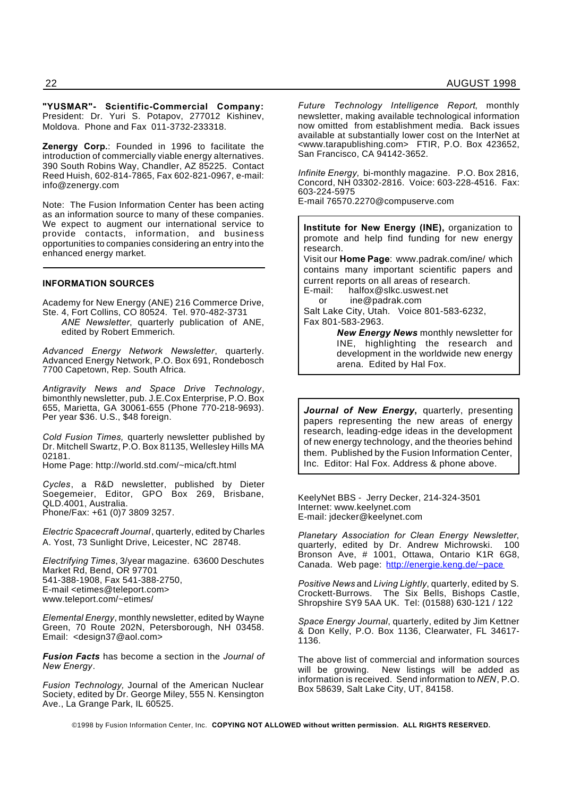**"YUSMAR"- Scientific-Commercial Company:** President: Dr. Yuri S. Potapov, 277012 Kishinev, Moldova. Phone and Fax 011-3732-233318.

**Zenergy Corp.**: Founded in 1996 to facilitate the introduction of commercially viable energy alternatives. 390 South Robins Way, Chandler, AZ 85225. Contact Reed Huish, 602-814-7865, Fax 602-821-0967, e-mail: info@zenergy.com

Note: The Fusion Information Center has been acting as an information source to many of these companies. We expect to augment our international service to provide contacts, information, and business opportunities to companies considering an entry into the enhanced energy market.

#### **INFORMATION SOURCES**

Academy for New Energy (ANE) 216 Commerce Drive, Ste. 4, Fort Collins, CO 80524. Tel. 970-482-3731

*ANE Newsletter*, quarterly publication of ANE, edited by Robert Emmerich.

*Advanced Energy Network Newsletter*, quarterly. Advanced Energy Network, P.O. Box 691, Rondebosch 7700 Capetown, Rep. South Africa.

*Antigravity News and Space Drive Technology*, bimonthly newsletter, pub. J.E.Cox Enterprise, P.O. Box 655, Marietta, GA 30061-655 (Phone 770-218-9693). Per year \$36. U.S., \$48 foreign.

*Cold Fusion Times,* quarterly newsletter published by Dr. Mitchell Swartz, P.O. Box 81135, Wellesley Hills MA 02181.

Home Page: http://world.std.com/~mica/cft.html

*Cycles*, a R&D newsletter, published by Dieter Soegemeier, Editor, GPO Box 269, Brisbane, QLD.4001, Australia. Phone/Fax: +61 (0)7 3809 3257.

*Electric Spacecraft Journal*, quarterly, edited by Charles A. Yost, 73 Sunlight Drive, Leicester, NC 28748.

*Electrifying Times*, 3/year magazine. 63600 Deschutes Market Rd, Bend, OR 97701 541-388-1908, Fax 541-388-2750, E-mail <etimes@teleport.com> www.teleport.com/~etimes/

*Elemental Energy*, monthly newsletter, edited by Wayne Green, 70 Route 202N, Petersborough, NH 03458. Email: <design37@aol.com>

*Fusion Facts* has become a section in the *Journal of New Energy*.

*Fusion Technology,* Journal of the American Nuclear Society, edited by Dr. George Miley, 555 N. Kensington Ave., La Grange Park, IL 60525.

*Future Technology Intelligence Report*, monthly newsletter, making available technological information now omitted from establishment media. Back issues available at substantially lower cost on the InterNet at <www.tarapublishing.com> FTIR, P.O. Box 423652, San Francisco, CA 94142-3652.

*Infinite Energy,* bi-monthly magazine. P.O. Box 2816, Concord, NH 03302-2816. Voice: 603-228-4516. Fax: 603-224-5975

E-mail 76570.2270@compuserve.com

**Institute for New Energy (INE),** organization to promote and help find funding for new energy research. Visit our **Home Page**: www.padrak.com/ine/ which contains many important scientific papers and current reports on all areas of research.<br>E-mail: halfox@slkc.uswest.net halfox@slkc.uswest.net or ine@padrak.com Salt Lake City, Utah. Voice 801-583-6232, Fax 801-583-2963. *New Energy News* monthly newsletter for INE, highlighting the research and

development in the worldwide new energy arena. Edited by Hal Fox.

*Journal of New Energy***,** quarterly, presenting papers representing the new areas of energy research, leading-edge ideas in the development of new energy technology, and the theories behind them. Published by the Fusion Information Center, Inc. Editor: Hal Fox. Address & phone above.

KeelyNet BBS - Jerry Decker, 214-324-3501 Internet: www.keelynet.com E-mail: jdecker@keelynet.com

*Planetary Association for Clean Energy Newsletter*, quarterly, edited by Dr. Andrew Michrowski. Bronson Ave, # 1001, Ottawa, Ontario K1R 6G8, Canada. Web page: http://energie.keng.de/~pace

*Positive News* and *Living Lightly*, quarterly, edited by S. Crockett-Burrows. The Six Bells, Bishops Castle, Shropshire SY9 5AA UK. Tel: (01588) 630-121 / 122

*Space Energy Journal*, quarterly, edited by Jim Kettner & Don Kelly, P.O. Box 1136, Clearwater, FL 34617- 1136.

The above list of commercial and information sources will be growing. New listings will be added as information is received. Send information to *NEN*, P.O. Box 58639, Salt Lake City, UT, 84158.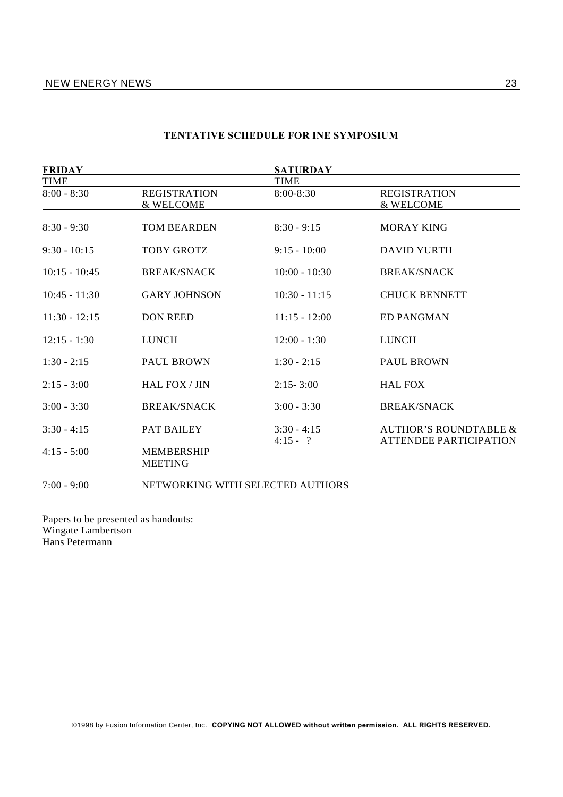| <b>FRIDAY</b>   |                                     | <b>SATURDAY</b>             |                                                                   |
|-----------------|-------------------------------------|-----------------------------|-------------------------------------------------------------------|
| <b>TIME</b>     |                                     | <b>TIME</b>                 |                                                                   |
| $8:00 - 8:30$   | <b>REGISTRATION</b><br>& WELCOME    | 8:00-8:30                   | <b>REGISTRATION</b><br>& WELCOME                                  |
| $8:30 - 9:30$   | <b>TOM BEARDEN</b>                  | $8:30 - 9:15$               | <b>MORAY KING</b>                                                 |
| $9:30 - 10:15$  | <b>TOBY GROTZ</b>                   | $9:15 - 10:00$              | <b>DAVID YURTH</b>                                                |
| $10:15 - 10:45$ | <b>BREAK/SNACK</b>                  | $10:00 - 10:30$             | <b>BREAK/SNACK</b>                                                |
| $10:45 - 11:30$ | <b>GARY JOHNSON</b>                 | $10:30 - 11:15$             | <b>CHUCK BENNETT</b>                                              |
| $11:30 - 12:15$ | <b>DON REED</b>                     | $11:15 - 12:00$             | ED PANGMAN                                                        |
| $12:15 - 1:30$  | <b>LUNCH</b>                        | $12:00 - 1:30$              | <b>LUNCH</b>                                                      |
| $1:30 - 2:15$   | <b>PAUL BROWN</b>                   | $1:30 - 2:15$               | <b>PAUL BROWN</b>                                                 |
| $2:15 - 3:00$   | <b>HAL FOX / JIN</b>                | $2:15 - 3:00$               | <b>HAL FOX</b>                                                    |
| $3:00 - 3:30$   | <b>BREAK/SNACK</b>                  | $3:00 - 3:30$               | <b>BREAK/SNACK</b>                                                |
| $3:30 - 4:15$   | PAT BAILEY                          | $3:30 - 4:15$<br>$4:15 - ?$ | <b>AUTHOR'S ROUNDTABLE &amp;</b><br><b>ATTENDEE PARTICIPATION</b> |
| $4:15 - 5:00$   | <b>MEMBERSHIP</b><br><b>MEETING</b> |                             |                                                                   |
|                 |                                     |                             |                                                                   |

#### **TENTATIVE SCHEDULE FOR INE SYMPOSIUM**

7:00 - 9:00 NETWORKING WITH SELECTED AUTHORS

Papers to be presented as handouts: Wingate Lambertson Hans Petermann